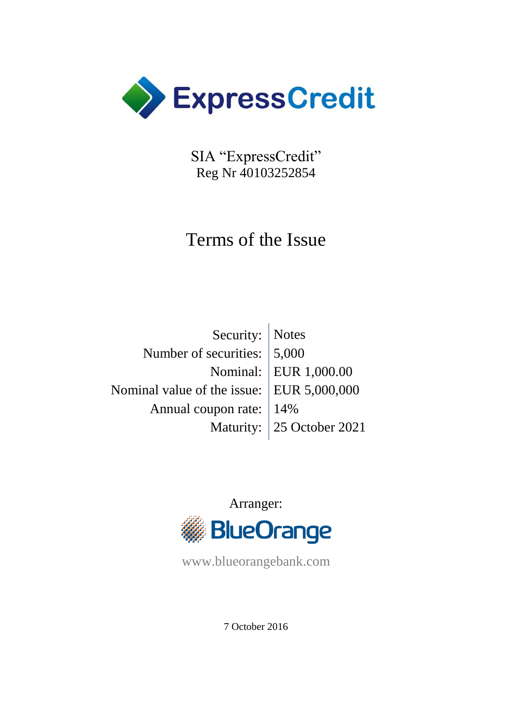

SIA "ExpressCredit" Reg Nr 40103252854

# Terms of the Issue

| Security:   Notes                         |                           |
|-------------------------------------------|---------------------------|
| Number of securities: 5,000               |                           |
|                                           | Nominal: EUR 1,000.00     |
| Nominal value of the issue: EUR 5,000,000 |                           |
| Annual coupon rate: 14%                   |                           |
|                                           | Maturity: 25 October 2021 |



www.blueorangebank.com

7 October 2016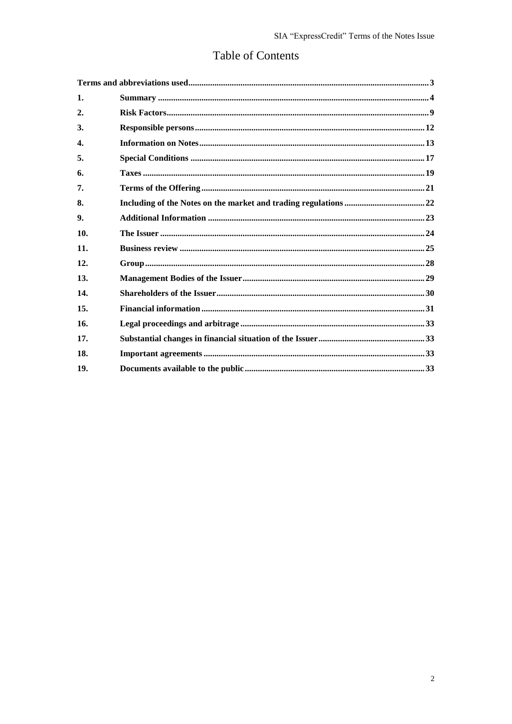## Table of Contents

| 1.  |  |
|-----|--|
| 2.  |  |
| 3.  |  |
| 4.  |  |
| 5.  |  |
| 6.  |  |
| 7.  |  |
| 8.  |  |
| 9.  |  |
| 10. |  |
| 11. |  |
| 12. |  |
| 13. |  |
| 14. |  |
| 15. |  |
| 16. |  |
| 17. |  |
| 18. |  |
| 19. |  |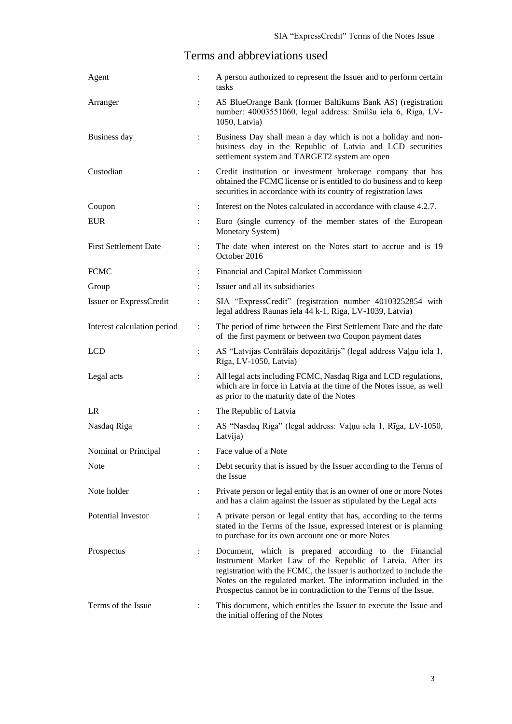## Terms and abbreviations used

<span id="page-2-0"></span>

| Agent                        | $\ddot{\cdot}$       | A person authorized to represent the Issuer and to perform certain<br>tasks                                                                                                                                                                                                                                                       |
|------------------------------|----------------------|-----------------------------------------------------------------------------------------------------------------------------------------------------------------------------------------------------------------------------------------------------------------------------------------------------------------------------------|
| Arranger                     | $\ddot{\cdot}$       | AS BlueOrange Bank (former Baltikums Bank AS) (registration<br>number: 40003551060, legal address: Smilšu iela 6, Riga, LV-<br>1050, Latvia)                                                                                                                                                                                      |
| Business day                 | $\ddot{\phantom{a}}$ | Business Day shall mean a day which is not a holiday and non-<br>business day in the Republic of Latvia and LCD securities<br>settlement system and TARGET2 system are open                                                                                                                                                       |
| Custodian                    | $\ddot{\cdot}$       | Credit institution or investment brokerage company that has<br>obtained the FCMC license or is entitled to do business and to keep<br>securities in accordance with its country of registration laws                                                                                                                              |
| Coupon                       | $\ddot{\cdot}$       | Interest on the Notes calculated in accordance with clause 4.2.7.                                                                                                                                                                                                                                                                 |
| <b>EUR</b>                   |                      | Euro (single currency of the member states of the European<br>Monetary System)                                                                                                                                                                                                                                                    |
| <b>First Settlement Date</b> | $\ddot{\cdot}$       | The date when interest on the Notes start to accrue and is 19<br>October 2016                                                                                                                                                                                                                                                     |
| <b>FCMC</b>                  | $\ddot{\cdot}$       | Financial and Capital Market Commission                                                                                                                                                                                                                                                                                           |
| Group                        | $\ddot{\cdot}$       | Issuer and all its subsidiaries                                                                                                                                                                                                                                                                                                   |
| Issuer or ExpressCredit      | $\ddot{\cdot}$       | SIA "ExpressCredit" (registration number 40103252854 with<br>legal address Raunas iela 44 k-1, Riga, LV-1039, Latvia)                                                                                                                                                                                                             |
| Interest calculation period  | $\ddot{\cdot}$       | The period of time between the First Settlement Date and the date<br>of the first payment or between two Coupon payment dates                                                                                                                                                                                                     |
| <b>LCD</b>                   | $\ddot{\cdot}$       | AS "Latvijas Centrālais depozitārijs" (legal address Vaļņu iela 1,<br>Rīga, LV-1050, Latvia)                                                                                                                                                                                                                                      |
| Legal acts                   | $\ddot{\cdot}$       | All legal acts including FCMC, Nasdaq Riga and LCD regulations,<br>which are in force in Latvia at the time of the Notes issue, as well<br>as prior to the maturity date of the Notes                                                                                                                                             |
| LR                           | $\ddot{\cdot}$       | The Republic of Latvia                                                                                                                                                                                                                                                                                                            |
| Nasdaq Riga                  |                      | AS "Nasdaq Riga" (legal address: Vaļņu iela 1, Rīga, LV-1050,<br>Latvija)                                                                                                                                                                                                                                                         |
| Nominal or Principal         | $\ddot{\cdot}$       | Face value of a Note                                                                                                                                                                                                                                                                                                              |
| <b>Note</b>                  | $\ddot{\cdot}$       | Debt security that is issued by the Issuer according to the Terms of<br>the Issue                                                                                                                                                                                                                                                 |
| Note holder                  | $\ddot{\cdot}$       | Private person or legal entity that is an owner of one or more Notes<br>and has a claim against the Issuer as stipulated by the Legal acts                                                                                                                                                                                        |
| Potential Investor           | $\ddot{\cdot}$       | A private person or legal entity that has, according to the terms<br>stated in the Terms of the Issue, expressed interest or is planning<br>to purchase for its own account one or more Notes                                                                                                                                     |
| Prospectus                   | $\ddot{\cdot}$       | Document, which is prepared according to the Financial<br>Instrument Market Law of the Republic of Latvia. After its<br>registration with the FCMC, the Issuer is authorized to include the<br>Notes on the regulated market. The information included in the<br>Prospectus cannot be in contradiction to the Terms of the Issue. |
| Terms of the Issue           | :                    | This document, which entitles the Issuer to execute the Issue and<br>the initial offering of the Notes                                                                                                                                                                                                                            |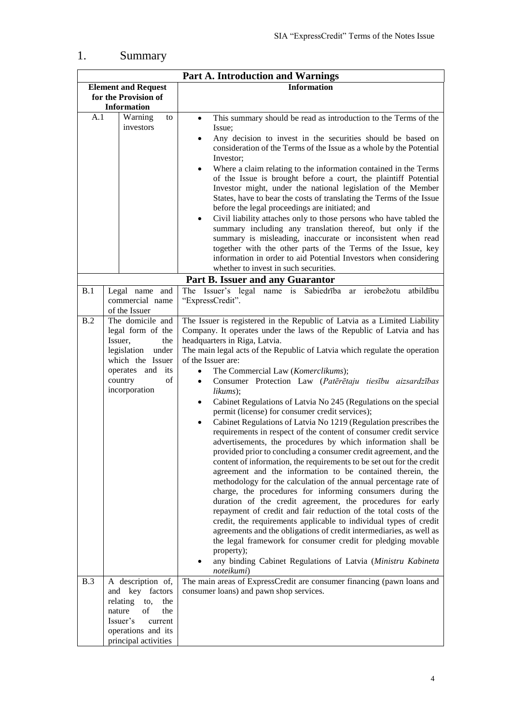## <span id="page-3-0"></span>1. Summary

|                      |                                                                                                                                                            | <b>Part A. Introduction and Warnings</b>                                                                                                                                                                                                                                                                                                                                                                                                                                                                                                                                                                                                                                                                                                                                                                                                                                                                                                                                                                                                                                                                                                                                                                                                                                                                                                                                                                                                                                               |
|----------------------|------------------------------------------------------------------------------------------------------------------------------------------------------------|----------------------------------------------------------------------------------------------------------------------------------------------------------------------------------------------------------------------------------------------------------------------------------------------------------------------------------------------------------------------------------------------------------------------------------------------------------------------------------------------------------------------------------------------------------------------------------------------------------------------------------------------------------------------------------------------------------------------------------------------------------------------------------------------------------------------------------------------------------------------------------------------------------------------------------------------------------------------------------------------------------------------------------------------------------------------------------------------------------------------------------------------------------------------------------------------------------------------------------------------------------------------------------------------------------------------------------------------------------------------------------------------------------------------------------------------------------------------------------------|
|                      | <b>Element and Request</b>                                                                                                                                 | <b>Information</b>                                                                                                                                                                                                                                                                                                                                                                                                                                                                                                                                                                                                                                                                                                                                                                                                                                                                                                                                                                                                                                                                                                                                                                                                                                                                                                                                                                                                                                                                     |
| for the Provision of |                                                                                                                                                            |                                                                                                                                                                                                                                                                                                                                                                                                                                                                                                                                                                                                                                                                                                                                                                                                                                                                                                                                                                                                                                                                                                                                                                                                                                                                                                                                                                                                                                                                                        |
|                      | <b>Information</b>                                                                                                                                         |                                                                                                                                                                                                                                                                                                                                                                                                                                                                                                                                                                                                                                                                                                                                                                                                                                                                                                                                                                                                                                                                                                                                                                                                                                                                                                                                                                                                                                                                                        |
| A.1                  | Warning<br>to<br>investors                                                                                                                                 | This summary should be read as introduction to the Terms of the<br>$\bullet$<br>Issue;                                                                                                                                                                                                                                                                                                                                                                                                                                                                                                                                                                                                                                                                                                                                                                                                                                                                                                                                                                                                                                                                                                                                                                                                                                                                                                                                                                                                 |
|                      |                                                                                                                                                            | Any decision to invest in the securities should be based on<br>consideration of the Terms of the Issue as a whole by the Potential<br>Investor;<br>Where a claim relating to the information contained in the Terms<br>of the Issue is brought before a court, the plaintiff Potential<br>Investor might, under the national legislation of the Member<br>States, have to bear the costs of translating the Terms of the Issue<br>before the legal proceedings are initiated; and<br>Civil liability attaches only to those persons who have tabled the<br>$\bullet$<br>summary including any translation thereof, but only if the<br>summary is misleading, inaccurate or inconsistent when read<br>together with the other parts of the Terms of the Issue, key<br>information in order to aid Potential Investors when considering<br>whether to invest in such securities.                                                                                                                                                                                                                                                                                                                                                                                                                                                                                                                                                                                                         |
|                      |                                                                                                                                                            |                                                                                                                                                                                                                                                                                                                                                                                                                                                                                                                                                                                                                                                                                                                                                                                                                                                                                                                                                                                                                                                                                                                                                                                                                                                                                                                                                                                                                                                                                        |
|                      |                                                                                                                                                            | Part B. Issuer and any Guarantor                                                                                                                                                                                                                                                                                                                                                                                                                                                                                                                                                                                                                                                                                                                                                                                                                                                                                                                                                                                                                                                                                                                                                                                                                                                                                                                                                                                                                                                       |
| B.1                  | Legal name and<br>commercial name<br>of the Issuer                                                                                                         | The Issuer's legal name is Sabiedrība<br>atbildību<br>ierobežotu<br>ar<br>"ExpressCredit".                                                                                                                                                                                                                                                                                                                                                                                                                                                                                                                                                                                                                                                                                                                                                                                                                                                                                                                                                                                                                                                                                                                                                                                                                                                                                                                                                                                             |
| B.2                  | The domicile and                                                                                                                                           | The Issuer is registered in the Republic of Latvia as a Limited Liability                                                                                                                                                                                                                                                                                                                                                                                                                                                                                                                                                                                                                                                                                                                                                                                                                                                                                                                                                                                                                                                                                                                                                                                                                                                                                                                                                                                                              |
|                      | legal form of the<br>Issuer,<br>the<br>legislation under<br>which the Issuer<br>operates and its<br>$_{\mathrm{of}}$<br>country<br>incorporation           | Company. It operates under the laws of the Republic of Latvia and has<br>headquarters in Riga, Latvia.<br>The main legal acts of the Republic of Latvia which regulate the operation<br>of the Issuer are:<br>The Commercial Law (Komerclikums);<br>Consumer Protection Law (Patērētaju tiesību aizsardzības<br>$\bullet$<br>likums);<br>Cabinet Regulations of Latvia No 245 (Regulations on the special<br>$\bullet$<br>permit (license) for consumer credit services);<br>Cabinet Regulations of Latvia No 1219 (Regulation prescribes the<br>$\bullet$<br>requirements in respect of the content of consumer credit service<br>advertisements, the procedures by which information shall be<br>provided prior to concluding a consumer credit agreement, and the<br>content of information, the requirements to be set out for the credit<br>agreement and the information to be contained therein, the<br>methodology for the calculation of the annual percentage rate of<br>charge, the procedures for informing consumers during the<br>duration of the credit agreement, the procedures for early<br>repayment of credit and fair reduction of the total costs of the<br>credit, the requirements applicable to individual types of credit<br>agreements and the obligations of credit intermediaries, as well as<br>the legal framework for consumer credit for pledging movable<br>property);<br>any binding Cabinet Regulations of Latvia (Ministru Kabineta<br>noteikumi) |
| <b>B.3</b>           | A description of,<br>and key factors<br>relating<br>to,<br>the<br>nature<br>of<br>the<br>Issuer's<br>current<br>operations and its<br>principal activities | The main areas of ExpressCredit are consumer financing (pawn loans and<br>consumer loans) and pawn shop services.                                                                                                                                                                                                                                                                                                                                                                                                                                                                                                                                                                                                                                                                                                                                                                                                                                                                                                                                                                                                                                                                                                                                                                                                                                                                                                                                                                      |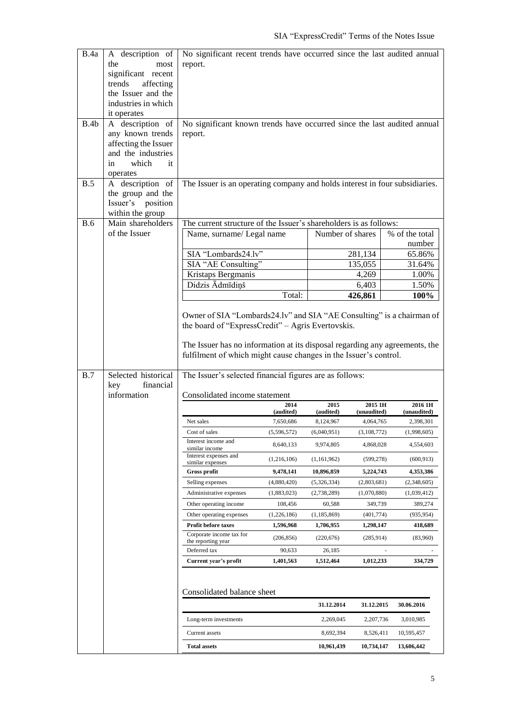| B.4a<br>B.4b<br>B.5 | A description of<br>the<br>most<br>significant recent<br>trends<br>affecting<br>the Issuer and the<br>industries in which<br>it operates<br>A description of<br>any known trends<br>affecting the Issuer<br>and the industries<br>which<br>it<br>in<br>operates<br>A description of<br>the group and the<br>Issuer's<br>position<br>within the group | No significant recent trends have occurred since the last audited annual<br>report.<br>No significant known trends have occurred since the last audited annual<br>report.<br>The Issuer is an operating company and holds interest in four subsidiaries. |             |                         |                         |                          |
|---------------------|------------------------------------------------------------------------------------------------------------------------------------------------------------------------------------------------------------------------------------------------------------------------------------------------------------------------------------------------------|----------------------------------------------------------------------------------------------------------------------------------------------------------------------------------------------------------------------------------------------------------|-------------|-------------------------|-------------------------|--------------------------|
| <b>B.6</b>          | Main shareholders                                                                                                                                                                                                                                                                                                                                    | The current structure of the Issuer's shareholders is as follows:                                                                                                                                                                                        |             |                         |                         |                          |
|                     | of the Issuer                                                                                                                                                                                                                                                                                                                                        | Name, surname/ Legal name                                                                                                                                                                                                                                |             | Number of shares        |                         | % of the total           |
|                     |                                                                                                                                                                                                                                                                                                                                                      |                                                                                                                                                                                                                                                          |             |                         |                         | number                   |
|                     |                                                                                                                                                                                                                                                                                                                                                      | SIA "Lombards24.lv"                                                                                                                                                                                                                                      |             |                         | 281,134                 | 65.86%                   |
|                     |                                                                                                                                                                                                                                                                                                                                                      | SIA "AE Consulting"                                                                                                                                                                                                                                      |             |                         | 135,055                 | 31.64%                   |
|                     |                                                                                                                                                                                                                                                                                                                                                      | Kristaps Bergmanis                                                                                                                                                                                                                                       |             |                         | 4,269                   | 1.00%                    |
|                     |                                                                                                                                                                                                                                                                                                                                                      | Didzis Ādmīdiņš                                                                                                                                                                                                                                          | Total:      |                         | 6,403<br>426,861        | 1.50%<br>100%            |
| B.7                 | Selected historical<br>financial<br>key<br>information                                                                                                                                                                                                                                                                                               | The Issuer has no information at its disposal regarding any agreements, the<br>fulfilment of which might cause changes in the Issuer's control.<br>The Issuer's selected financial figures are as follows:                                               |             |                         |                         |                          |
|                     |                                                                                                                                                                                                                                                                                                                                                      | Consolidated income statement                                                                                                                                                                                                                            | 2014        | 2015                    | 2015 1H                 | 2016 1H                  |
|                     |                                                                                                                                                                                                                                                                                                                                                      |                                                                                                                                                                                                                                                          | (audited)   | (audited)               | (unaudited)             | (unaudited)              |
|                     |                                                                                                                                                                                                                                                                                                                                                      | Net sales                                                                                                                                                                                                                                                | 7,650,686   | 8,124,967               | 4,064,765               | 2,398,301                |
|                     |                                                                                                                                                                                                                                                                                                                                                      | Cost of sales                                                                                                                                                                                                                                            | (5,596,572) | (6,040,951)             | (3,108,772)             | (1,998,605)              |
|                     |                                                                                                                                                                                                                                                                                                                                                      | Interest income and<br>similar income                                                                                                                                                                                                                    | 8,640,133   | 9.974.805               | 4,868,028               | 4,554,603                |
|                     |                                                                                                                                                                                                                                                                                                                                                      | Interest expenses and<br>similar expenses                                                                                                                                                                                                                | (1,216,106) | (1,161,962)             | (599, 278)              |                          |
|                     |                                                                                                                                                                                                                                                                                                                                                      | Gross profit                                                                                                                                                                                                                                             | 9,478,141   | 10,896,859              |                         | (600, 913)               |
|                     |                                                                                                                                                                                                                                                                                                                                                      | Selling expenses                                                                                                                                                                                                                                         |             |                         | 5,224,743               | 4,353,386                |
|                     |                                                                                                                                                                                                                                                                                                                                                      |                                                                                                                                                                                                                                                          | (4,880,420) | (5,326,334)             | (2,803,681)             | (2,348,605)              |
|                     |                                                                                                                                                                                                                                                                                                                                                      | Administrative expenses                                                                                                                                                                                                                                  | (1,883,023) | (2,738,289)             | (1,070,880)             | (1,039,412)              |
|                     |                                                                                                                                                                                                                                                                                                                                                      | Other operating income                                                                                                                                                                                                                                   | 108,456     | 60,588                  | 349,739                 | 389,274                  |
|                     |                                                                                                                                                                                                                                                                                                                                                      | Other operating expenses                                                                                                                                                                                                                                 | (1,226,186) | (1, 185, 869)           | (401, 774)              | (935,954)                |
|                     |                                                                                                                                                                                                                                                                                                                                                      | <b>Profit before taxes</b>                                                                                                                                                                                                                               | 1,596,968   | 1,706,955               | 1,298,147               | 418,689                  |
|                     |                                                                                                                                                                                                                                                                                                                                                      | Corporate income tax for<br>the reporting year                                                                                                                                                                                                           | (206, 856)  | (220, 676)              | (285, 914)              | (83,960)                 |
|                     |                                                                                                                                                                                                                                                                                                                                                      | Deferred tax                                                                                                                                                                                                                                             | 90,633      | 26,185                  |                         |                          |
|                     |                                                                                                                                                                                                                                                                                                                                                      | Current year's profit                                                                                                                                                                                                                                    | 1,401,563   | 1,512,464               | 1,012,233               | 334,729                  |
|                     |                                                                                                                                                                                                                                                                                                                                                      | Consolidated balance sheet                                                                                                                                                                                                                               |             |                         |                         |                          |
|                     |                                                                                                                                                                                                                                                                                                                                                      |                                                                                                                                                                                                                                                          |             | 31.12.2014              | 31.12.2015              | 30.06.2016               |
|                     |                                                                                                                                                                                                                                                                                                                                                      | Long-term investments                                                                                                                                                                                                                                    |             | 2,269,045               | 2,207,736               | 3,010,985                |
|                     |                                                                                                                                                                                                                                                                                                                                                      | Current assets<br><b>Total assets</b>                                                                                                                                                                                                                    |             | 8,692,394<br>10,961,439 | 8,526,411<br>10,734,147 | 10,595,457<br>13,606,442 |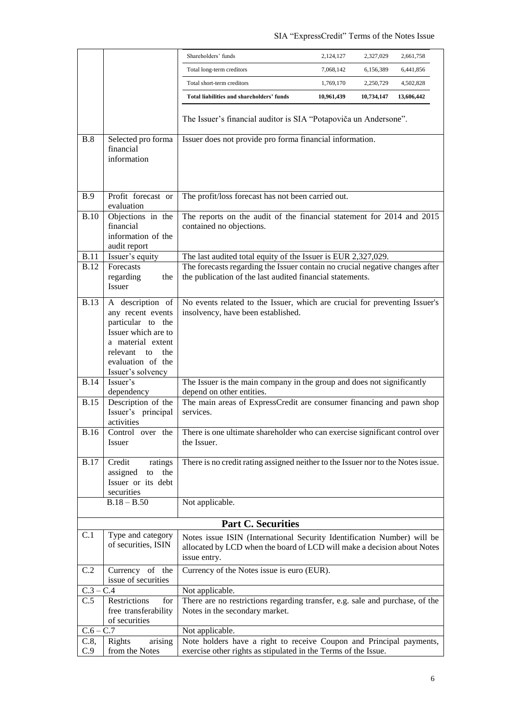|             |                                                                                                                                                                        | Shareholders' funds<br>2,124,127<br>2,327,029<br>2,661,758                                                                                                         |  |
|-------------|------------------------------------------------------------------------------------------------------------------------------------------------------------------------|--------------------------------------------------------------------------------------------------------------------------------------------------------------------|--|
|             |                                                                                                                                                                        | Total long-term creditors<br>7,068,142<br>6,156,389<br>6,441,856                                                                                                   |  |
|             |                                                                                                                                                                        | Total short-term creditors<br>1,769,170<br>2,250,729<br>4,502,828                                                                                                  |  |
|             |                                                                                                                                                                        | Total liabilities and shareholders' funds<br>10,961,439<br>10,734,147<br>13,606,442                                                                                |  |
|             |                                                                                                                                                                        | The Issuer's financial auditor is SIA "Potapoviča un Andersone".                                                                                                   |  |
| B.8         | Selected pro forma<br>financial<br>information                                                                                                                         | Issuer does not provide pro forma financial information.                                                                                                           |  |
| <b>B.9</b>  | Profit forecast or<br>evaluation                                                                                                                                       | The profit/loss forecast has not been carried out.                                                                                                                 |  |
| <b>B.10</b> | Objections in the<br>financial<br>information of the<br>audit report                                                                                                   | The reports on the audit of the financial statement for 2014 and 2015<br>contained no objections.                                                                  |  |
| <b>B.11</b> | Issuer's equity                                                                                                                                                        | The last audited total equity of the Issuer is EUR 2,327,029.                                                                                                      |  |
| <b>B.12</b> | Forecasts<br>regarding<br>the<br><b>Issuer</b>                                                                                                                         | The forecasts regarding the Issuer contain no crucial negative changes after<br>the publication of the last audited financial statements.                          |  |
| <b>B.13</b> | A description of<br>any recent events<br>particular to the<br>Issuer which are to<br>a material extent<br>relevant to<br>the<br>evaluation of the<br>Issuer's solvency | No events related to the Issuer, which are crucial for preventing Issuer's<br>insolvency, have been established.                                                   |  |
| <b>B.14</b> | Issuer's<br>dependency                                                                                                                                                 | The Issuer is the main company in the group and does not significantly<br>depend on other entities.                                                                |  |
| <b>B.15</b> | Description of the<br>Issuer's principal<br>activities                                                                                                                 | The main areas of ExpressCredit are consumer financing and pawn shop<br>services.                                                                                  |  |
| <b>B.16</b> | Control over the<br><i>Issuer</i>                                                                                                                                      | There is one ultimate shareholder who can exercise significant control over<br>the Issuer.                                                                         |  |
| <b>B.17</b> | Credit<br>ratings<br>assigned<br>to<br>the<br>Issuer or its debt<br>securities                                                                                         | There is no credit rating assigned neither to the Issuer nor to the Notes issue.                                                                                   |  |
|             | $B.18 - B.50$                                                                                                                                                          | Not applicable.                                                                                                                                                    |  |
|             |                                                                                                                                                                        | <b>Part C. Securities</b>                                                                                                                                          |  |
| C.1         | Type and category<br>of securities, ISIN                                                                                                                               | Notes issue ISIN (International Security Identification Number) will be<br>allocated by LCD when the board of LCD will make a decision about Notes<br>issue entry. |  |
| C.2         | Currency of the<br>issue of securities                                                                                                                                 | Currency of the Notes issue is euro (EUR).                                                                                                                         |  |
| $C.3 -$     | C.4                                                                                                                                                                    | Not applicable.                                                                                                                                                    |  |
| C.5         | Restrictions<br>for<br>free transferability<br>of securities                                                                                                           | There are no restrictions regarding transfer, e.g. sale and purchase, of the<br>Notes in the secondary market.                                                     |  |
| $C.6 - C.7$ |                                                                                                                                                                        | Not applicable.                                                                                                                                                    |  |
| C.8,<br>C.9 | Rights<br>arising<br>from the Notes                                                                                                                                    | Note holders have a right to receive Coupon and Principal payments,<br>exercise other rights as stipulated in the Terms of the Issue.                              |  |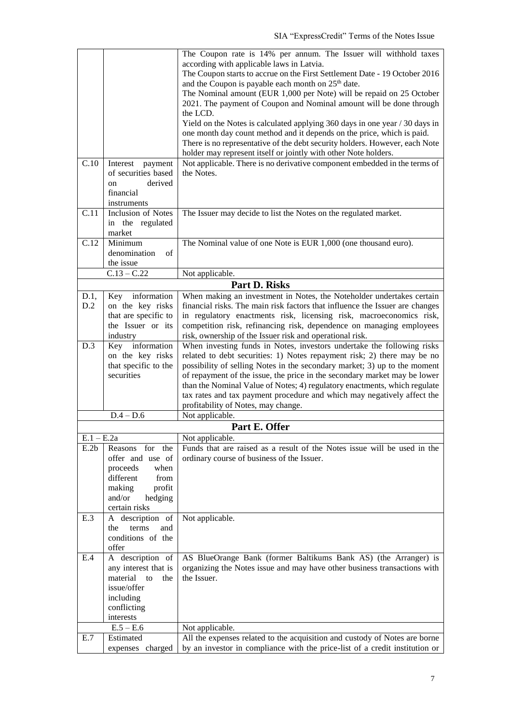|              |                           | The Coupon rate is 14% per annum. The Issuer will withhold taxes                                               |
|--------------|---------------------------|----------------------------------------------------------------------------------------------------------------|
|              |                           | according with applicable laws in Latvia.                                                                      |
|              |                           | The Coupon starts to accrue on the First Settlement Date - 19 October 2016                                     |
|              |                           | and the Coupon is payable each month on 25 <sup>th</sup> date.                                                 |
|              |                           | The Nominal amount (EUR 1,000 per Note) will be repaid on 25 October                                           |
|              |                           | 2021. The payment of Coupon and Nominal amount will be done through                                            |
|              |                           | the LCD.                                                                                                       |
|              |                           | Yield on the Notes is calculated applying 360 days in one year / 30 days in                                    |
|              |                           | one month day count method and it depends on the price, which is paid.                                         |
|              |                           | There is no representative of the debt security holders. However, each Note                                    |
|              |                           | holder may represent itself or jointly with other Note holders.                                                |
| C.10         | Interest<br>payment       | Not applicable. There is no derivative component embedded in the terms of                                      |
|              | of securities based       | the Notes.                                                                                                     |
|              | derived<br>on             |                                                                                                                |
|              | financial<br>instruments  |                                                                                                                |
| C.11         | <b>Inclusion of Notes</b> | The Issuer may decide to list the Notes on the regulated market.                                               |
|              | in the regulated          |                                                                                                                |
|              | market                    |                                                                                                                |
| C.12         | Minimum                   | The Nominal value of one Note is EUR 1,000 (one thousand euro).                                                |
|              | denomination<br>of        |                                                                                                                |
|              | the issue                 |                                                                                                                |
|              | $C.13 - C.22$             | Not applicable.                                                                                                |
|              |                           | Part D. Risks                                                                                                  |
| D.1,         | information<br>Key        | When making an investment in Notes, the Noteholder undertakes certain                                          |
| D.2          | on the key risks          | financial risks. The main risk factors that influence the Issuer are changes                                   |
|              | that are specific to      | in regulatory enactments risk, licensing risk, macroeconomics risk,                                            |
|              | the Issuer or its         | competition risk, refinancing risk, dependence on managing employees                                           |
|              | industry                  | risk, ownership of the Issuer risk and operational risk.                                                       |
| D.3          | Key information           | When investing funds in Notes, investors undertake the following risks                                         |
|              | on the key risks          | related to debt securities: 1) Notes repayment risk; 2) there may be no                                        |
|              | that specific to the      | possibility of selling Notes in the secondary market; 3) up to the moment                                      |
|              | securities                | of repayment of the issue, the price in the secondary market may be lower                                      |
|              |                           | than the Nominal Value of Notes; 4) regulatory enactments, which regulate                                      |
|              |                           | tax rates and tax payment procedure and which may negatively affect the<br>profitability of Notes, may change. |
|              | $D.4 - D.6$               | Not applicable.                                                                                                |
|              |                           | Part E. Offer                                                                                                  |
| $E.1 - E.2a$ |                           | Not applicable.                                                                                                |
| E.2b         | for the<br>Reasons        | Funds that are raised as a result of the Notes issue will be used in the                                       |
|              | offer and use of          | ordinary course of business of the Issuer.                                                                     |
|              | when<br>proceeds          |                                                                                                                |
|              | different<br>from         |                                                                                                                |
|              | making<br>profit          |                                                                                                                |
|              | and/or<br>hedging         |                                                                                                                |
|              | certain risks             |                                                                                                                |
| E.3          | A description of          | Not applicable.                                                                                                |
|              | the<br>terms<br>and       |                                                                                                                |
|              | conditions of the         |                                                                                                                |
|              | offer                     |                                                                                                                |
| E.4          | A description of          | AS BlueOrange Bank (former Baltikums Bank AS) (the Arranger) is                                                |
|              | any interest that is      | organizing the Notes issue and may have other business transactions with                                       |
|              | material<br>to<br>the     | the Issuer.                                                                                                    |
|              | issue/offer               |                                                                                                                |
|              | including                 |                                                                                                                |
|              | conflicting<br>interests  |                                                                                                                |
|              | $E.5 - E.6$               | Not applicable.                                                                                                |
| E.7          | Estimated                 | All the expenses related to the acquisition and custody of Notes are borne                                     |
|              | expenses charged          | by an investor in compliance with the price-list of a credit institution or                                    |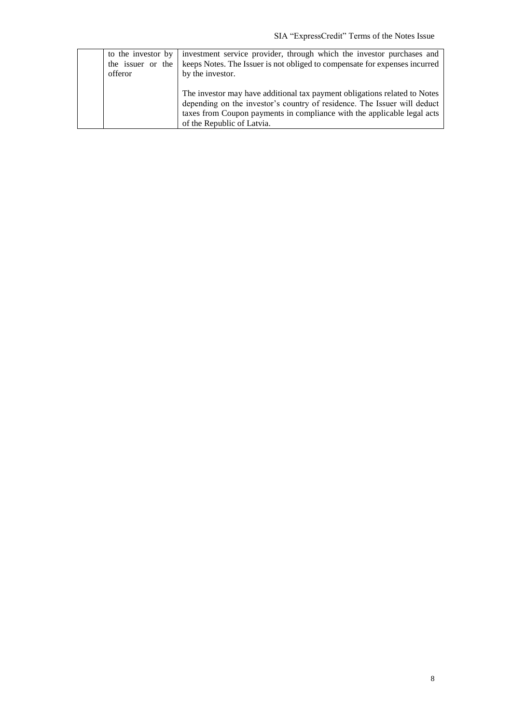| to the investor by<br>the issuer or the<br>offeror | investment service provider, through which the investor purchases and<br>keeps Notes. The Issuer is not obliged to compensate for expenses incurred<br>by the investor.                                                                                        |
|----------------------------------------------------|----------------------------------------------------------------------------------------------------------------------------------------------------------------------------------------------------------------------------------------------------------------|
|                                                    | The investor may have additional tax payment obligations related to Notes<br>depending on the investor's country of residence. The Issuer will deduct<br>taxes from Coupon payments in compliance with the applicable legal acts<br>of the Republic of Latvia. |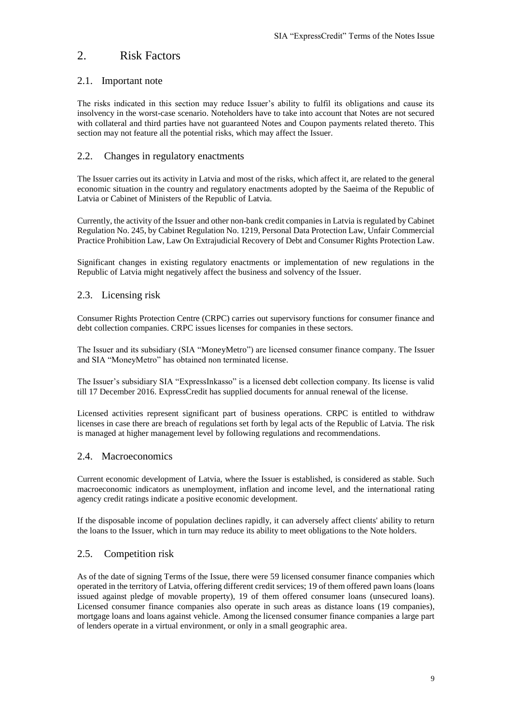## <span id="page-8-0"></span>2. Risk Factors

## 2.1. Important note

The risks indicated in this section may reduce Issuer's ability to fulfil its obligations and cause its insolvency in the worst-case scenario. Noteholders have to take into account that Notes are not secured with collateral and third parties have not guaranteed Notes and Coupon payments related thereto. This section may not feature all the potential risks, which may affect the Issuer.

## 2.2. Changes in regulatory enactments

The Issuer carries out its activity in Latvia and most of the risks, which affect it, are related to the general economic situation in the country and regulatory enactments adopted by the Saeima of the Republic of Latvia or Cabinet of Ministers of the Republic of Latvia.

Currently, the activity of the Issuer and other non-bank credit companies in Latvia is regulated by Cabinet Regulation No. 245, by Cabinet Regulation No. 1219, Personal Data Protection Law, Unfair Commercial Practice Prohibition Law, Law On Extrajudicial Recovery of Debt and Consumer Rights Protection Law.

Significant changes in existing regulatory enactments or implementation of new regulations in the Republic of Latvia might negatively affect the business and solvency of the Issuer.

#### 2.3. Licensing risk

Consumer Rights Protection Centre (CRPC) carries out supervisory functions for consumer finance and debt collection companies. CRPC issues licenses for companies in these sectors.

The Issuer and its subsidiary (SIA "MoneyMetro") are licensed consumer finance company. The Issuer and SIA "MoneyMetro" has obtained non terminated license.

The Issuer's subsidiary SIA "ExpressInkasso" is a licensed debt collection company. Its license is valid till 17 December 2016. ExpressCredit has supplied documents for annual renewal of the license.

Licensed activities represent significant part of business operations. CRPC is entitled to withdraw licenses in case there are breach of regulations set forth by legal acts of the Republic of Latvia. The risk is managed at higher management level by following regulations and recommendations.

#### 2.4. Macroeconomics

Current economic development of Latvia, where the Issuer is established, is considered as stable. Such macroeconomic indicators as unemployment, inflation and income level, and the international rating agency credit ratings indicate a positive economic development.

If the disposable income of population declines rapidly, it can adversely affect clients' ability to return the loans to the Issuer, which in turn may reduce its ability to meet obligations to the Note holders.

## 2.5. Competition risk

As of the date of signing Terms of the Issue, there were 59 licensed consumer finance companies which operated in the territory of Latvia, offering different credit services; 19 of them offered pawn loans (loans issued against pledge of movable property), 19 of them offered consumer loans (unsecured loans). Licensed consumer finance companies also operate in such areas as distance loans (19 companies), mortgage loans and loans against vehicle. Among the licensed consumer finance companies a large part of lenders operate in a virtual environment, or only in a small geographic area.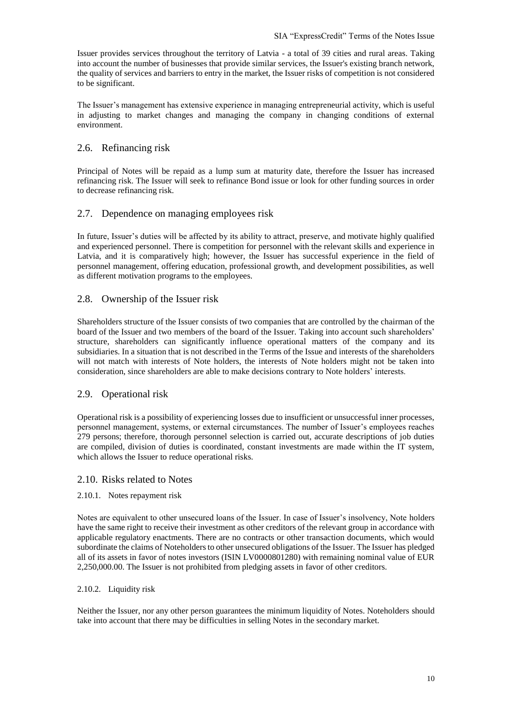Issuer provides services throughout the territory of Latvia - a total of 39 cities and rural areas. Taking into account the number of businesses that provide similar services, the Issuer's existing branch network, the quality of services and barriers to entry in the market, the Issuer risks of competition is not considered to be significant.

The Issuer's management has extensive experience in managing entrepreneurial activity, which is useful in adjusting to market changes and managing the company in changing conditions of external environment.

## 2.6. Refinancing risk

Principal of Notes will be repaid as a lump sum at maturity date, therefore the Issuer has increased refinancing risk. The Issuer will seek to refinance Bond issue or look for other funding sources in order to decrease refinancing risk.

## 2.7. Dependence on managing employees risk

In future, Issuer's duties will be affected by its ability to attract, preserve, and motivate highly qualified and experienced personnel. There is competition for personnel with the relevant skills and experience in Latvia, and it is comparatively high; however, the Issuer has successful experience in the field of personnel management, offering education, professional growth, and development possibilities, as well as different motivation programs to the employees.

## 2.8. Ownership of the Issuer risk

Shareholders structure of the Issuer consists of two companies that are controlled by the chairman of the board of the Issuer and two members of the board of the Issuer. Taking into account such shareholders' structure, shareholders can significantly influence operational matters of the company and its subsidiaries. In a situation that is not described in the Terms of the Issue and interests of the shareholders will not match with interests of Note holders, the interests of Note holders might not be taken into consideration, since shareholders are able to make decisions contrary to Note holders' interests.

## 2.9. Operational risk

Operational risk is a possibility of experiencing losses due to insufficient or unsuccessful inner processes, personnel management, systems, or external circumstances. The number of Issuer's employees reaches 279 persons; therefore, thorough personnel selection is carried out, accurate descriptions of job duties are compiled, division of duties is coordinated, constant investments are made within the IT system, which allows the Issuer to reduce operational risks.

#### 2.10. Risks related to Notes

#### 2.10.1. Notes repayment risk

Notes are equivalent to other unsecured loans of the Issuer. In case of Issuer's insolvency, Note holders have the same right to receive their investment as other creditors of the relevant group in accordance with applicable regulatory enactments. There are no contracts or other transaction documents, which would subordinate the claims of Noteholders to other unsecured obligations of the Issuer. The Issuer has pledged all of its assets in favor of notes investors (ISIN LV0000801280) with remaining nominal value of EUR 2,250,000.00. The Issuer is not prohibited from pledging assets in favor of other creditors.

#### 2.10.2. Liquidity risk

Neither the Issuer, nor any other person guarantees the minimum liquidity of Notes. Noteholders should take into account that there may be difficulties in selling Notes in the secondary market.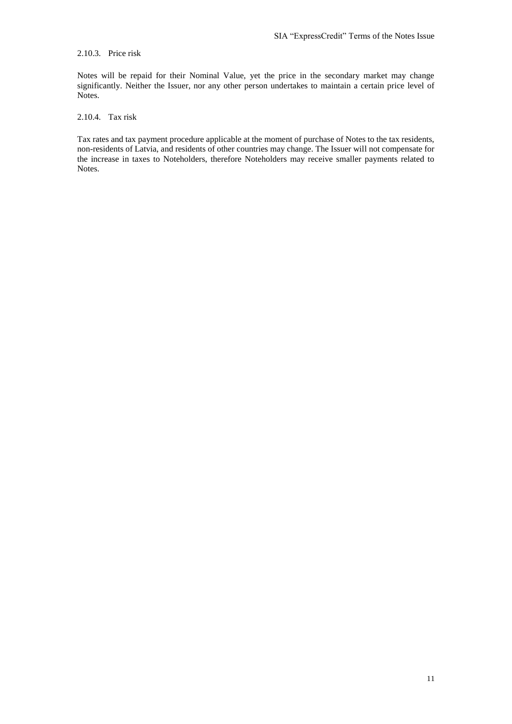#### 2.10.3. Price risk

Notes will be repaid for their Nominal Value, yet the price in the secondary market may change significantly. Neither the Issuer, nor any other person undertakes to maintain a certain price level of Notes.

## 2.10.4. Tax risk

Tax rates and tax payment procedure applicable at the moment of purchase of Notes to the tax residents, non-residents of Latvia, and residents of other countries may change. The Issuer will not compensate for the increase in taxes to Noteholders, therefore Noteholders may receive smaller payments related to Notes.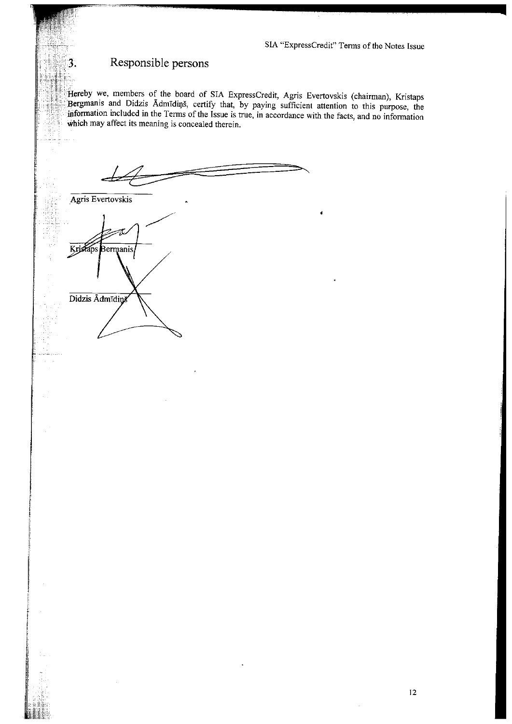## Responsible persons

3.

Hereby we, members of the board of SIA ExpressCredit, Agris Evertovskis (chairman), Kristaps Bergmanis and Didzis Admidins, certify that, by paying sufficient attention to this purpose, the information included in the Terms of the Issue is true, in accordance with the facts, and no information which may affect its meaning is concealed therein.

Agris Evertovskis Kristaps Bermanis Didzis Admīdiņā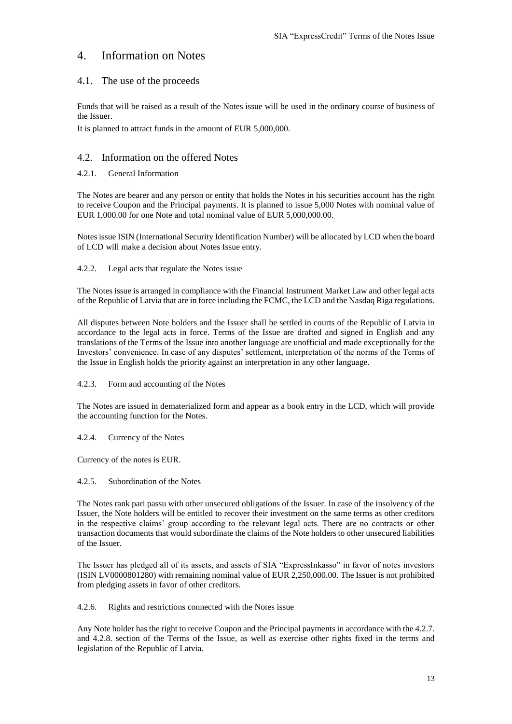## <span id="page-12-0"></span>4. Information on Notes

## 4.1. The use of the proceeds

Funds that will be raised as a result of the Notes issue will be used in the ordinary course of business of the Issuer.

It is planned to attract funds in the amount of EUR 5,000,000.

## 4.2. Information on the offered Notes

### 4.2.1. General Information

The Notes are bearer and any person or entity that holds the Notes in his securities account has the right to receive Coupon and the Principal payments. It is planned to issue 5,000 Notes with nominal value of EUR 1,000.00 for one Note and total nominal value of EUR 5,000,000.00.

Notes issue ISIN (International Security Identification Number) will be allocated by LCD when the board of LCD will make a decision about Notes Issue entry.

#### 4.2.2. Legal acts that regulate the Notes issue

The Notes issue is arranged in compliance with the Financial Instrument Market Law and other legal acts of the Republic of Latvia that are in force including the FCMC, the LCD and the Nasdaq Riga regulations.

All disputes between Note holders and the Issuer shall be settled in courts of the Republic of Latvia in accordance to the legal acts in force. Terms of the Issue are drafted and signed in English and any translations of the Terms of the Issue into another language are unofficial and made exceptionally for the Investors' convenience. In case of any disputes' settlement, interpretation of the norms of the Terms of the Issue in English holds the priority against an interpretation in any other language.

#### 4.2.3. Form and accounting of the Notes

The Notes are issued in dematerialized form and appear as a book entry in the LCD, which will provide the accounting function for the Notes.

#### 4.2.4. Currency of the Notes

Currency of the notes is EUR.

#### 4.2.5. Subordination of the Notes

The Notes rank pari passu with other unsecured obligations of the Issuer. In case of the insolvency of the Issuer, the Note holders will be entitled to recover their investment on the same terms as other creditors in the respective claims' group according to the relevant legal acts. There are no contracts or other transaction documents that would subordinate the claims of the Note holders to other unsecured liabilities of the Issuer.

The Issuer has pledged all of its assets, and assets of SIA "ExpressInkasso" in favor of notes investors (ISIN LV0000801280) with remaining nominal value of EUR 2,250,000.00. The Issuer is not prohibited from pledging assets in favor of other creditors.

4.2.6. Rights and restrictions connected with the Notes issue

Any Note holder has the right to receive Coupon and the Principal payments in accordance with the 4.2.7. and 4.2.8. section of the Terms of the Issue, as well as exercise other rights fixed in the terms and legislation of the Republic of Latvia.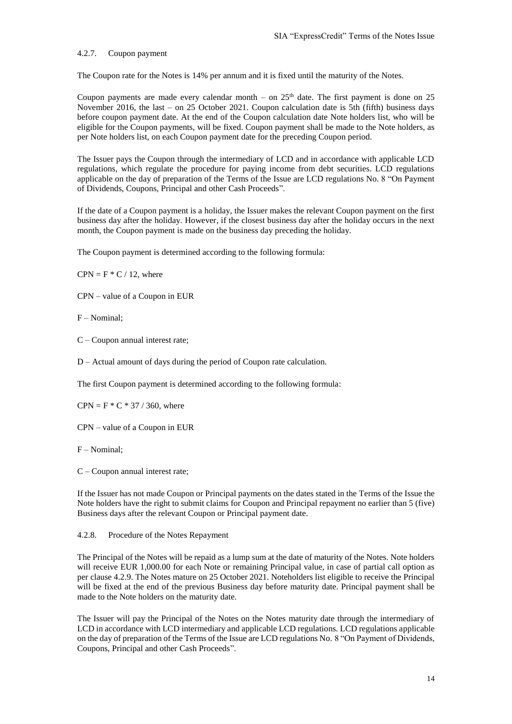#### 4.2.7. Coupon payment

The Coupon rate for the Notes is 14% per annum and it is fixed until the maturity of the Notes.

Coupon payments are made every calendar month – on  $25<sup>th</sup>$  date. The first payment is done on 25 November 2016, the last – on 25 October 2021. Coupon calculation date is 5th (fifth) business days before coupon payment date. At the end of the Coupon calculation date Note holders list, who will be eligible for the Coupon payments, will be fixed. Coupon payment shall be made to the Note holders, as per Note holders list, on each Coupon payment date for the preceding Coupon period.

The Issuer pays the Coupon through the intermediary of LCD and in accordance with applicable LCD regulations, which regulate the procedure for paying income from debt securities. LCD regulations applicable on the day of preparation of the Terms of the Issue are LCD regulations No. 8 "On Payment of Dividends, Coupons, Principal and other Cash Proceeds".

If the date of a Coupon payment is a holiday, the Issuer makes the relevant Coupon payment on the first business day after the holiday. However, if the closest business day after the holiday occurs in the next month, the Coupon payment is made on the business day preceding the holiday.

The Coupon payment is determined according to the following formula:

 $CPN = F * C / 12$ , where

CPN – value of a Coupon in EUR

F – Nominal;

C – Coupon annual interest rate;

D – Actual amount of days during the period of Coupon rate calculation.

The first Coupon payment is determined according to the following formula:

 $CPN = F * C * 37 / 360$ , where

CPN – value of a Coupon in EUR

F – Nominal;

C – Coupon annual interest rate;

If the Issuer has not made Coupon or Principal payments on the dates stated in the Terms of the Issue the Note holders have the right to submit claims for Coupon and Principal repayment no earlier than 5 (five) Business days after the relevant Coupon or Principal payment date.

4.2.8. Procedure of the Notes Repayment

The Principal of the Notes will be repaid as a lump sum at the date of maturity of the Notes. Note holders will receive EUR 1,000.00 for each Note or remaining Principal value, in case of partial call option as per clause 4.2.9. The Notes mature on 25 October 2021. Noteholders list eligible to receive the Principal will be fixed at the end of the previous Business day before maturity date. Principal payment shall be made to the Note holders on the maturity date.

The Issuer will pay the Principal of the Notes on the Notes maturity date through the intermediary of LCD in accordance with LCD intermediary and applicable LCD regulations. LCD regulations applicable on the day of preparation of the Terms of the Issue are LCD regulations No. 8 "On Payment of Dividends, Coupons, Principal and other Cash Proceeds".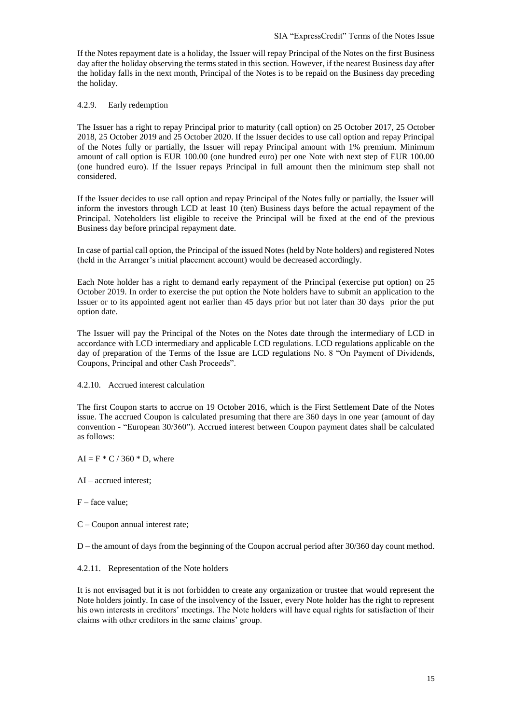If the Notes repayment date is a holiday, the Issuer will repay Principal of the Notes on the first Business day after the holiday observing the terms stated in this section. However, if the nearest Business day after the holiday falls in the next month, Principal of the Notes is to be repaid on the Business day preceding the holiday.

#### 4.2.9. Early redemption

The Issuer has a right to repay Principal prior to maturity (call option) on 25 October 2017, 25 October 2018, 25 October 2019 and 25 October 2020. If the Issuer decides to use call option and repay Principal of the Notes fully or partially, the Issuer will repay Principal amount with 1% premium. Minimum amount of call option is EUR 100.00 (one hundred euro) per one Note with next step of EUR 100.00 (one hundred euro). If the Issuer repays Principal in full amount then the minimum step shall not considered.

If the Issuer decides to use call option and repay Principal of the Notes fully or partially, the Issuer will inform the investors through LCD at least 10 (ten) Business days before the actual repayment of the Principal. Noteholders list eligible to receive the Principal will be fixed at the end of the previous Business day before principal repayment date.

In case of partial call option, the Principal of the issued Notes (held by Note holders) and registered Notes (held in the Arranger's initial placement account) would be decreased accordingly.

Each Note holder has a right to demand early repayment of the Principal (exercise put option) on 25 October 2019. In order to exercise the put option the Note holders have to submit an application to the Issuer or to its appointed agent not earlier than 45 days prior but not later than 30 days prior the put option date.

The Issuer will pay the Principal of the Notes on the Notes date through the intermediary of LCD in accordance with LCD intermediary and applicable LCD regulations. LCD regulations applicable on the day of preparation of the Terms of the Issue are LCD regulations No. 8 "On Payment of Dividends, Coupons, Principal and other Cash Proceeds".

#### 4.2.10. Accrued interest calculation

The first Coupon starts to accrue on 19 October 2016, which is the First Settlement Date of the Notes issue. The accrued Coupon is calculated presuming that there are 360 days in one year (amount of day convention - "European 30/360"). Accrued interest between Coupon payment dates shall be calculated as follows:

- $AI = F * C / 360 * D$ , where
- AI accrued interest;
- $F$  face value;
- C Coupon annual interest rate;

D – the amount of days from the beginning of the Coupon accrual period after 30/360 day count method.

#### 4.2.11. Representation of the Note holders

It is not envisaged but it is not forbidden to create any organization or trustee that would represent the Note holders jointly. In case of the insolvency of the Issuer, every Note holder has the right to represent his own interests in creditors' meetings. The Note holders will have equal rights for satisfaction of their claims with other creditors in the same claims' group.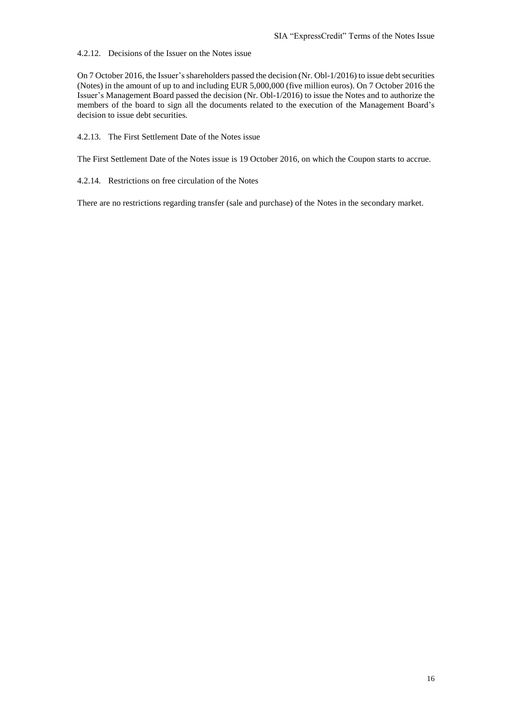4.2.12. Decisions of the Issuer on the Notes issue

On 7 October 2016, the Issuer's shareholders passed the decision (Nr. Obl-1/2016) to issue debt securities (Notes) in the amount of up to and including EUR 5,000,000 (five million euros). On 7 October 2016 the Issuer's Management Board passed the decision (Nr. Obl-1/2016) to issue the Notes and to authorize the members of the board to sign all the documents related to the execution of the Management Board's decision to issue debt securities.

4.2.13. The First Settlement Date of the Notes issue

The First Settlement Date of the Notes issue is 19 October 2016, on which the Coupon starts to accrue.

4.2.14. Restrictions on free circulation of the Notes

There are no restrictions regarding transfer (sale and purchase) of the Notes in the secondary market.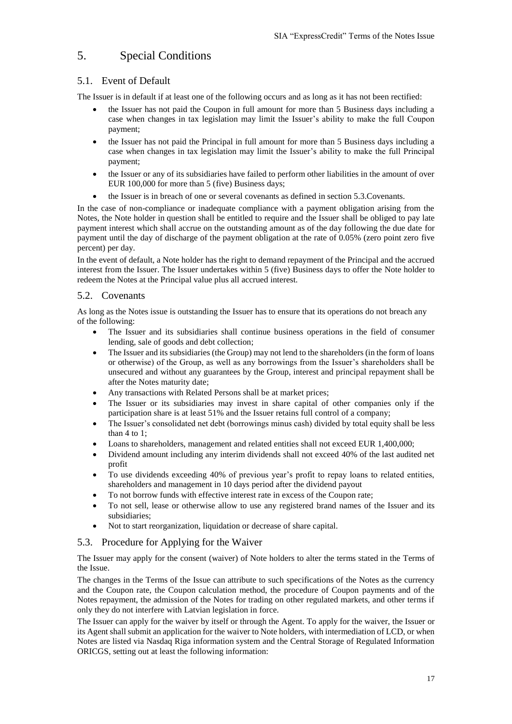## <span id="page-16-0"></span>5. Special Conditions

## 5.1. Event of Default

The Issuer is in default if at least one of the following occurs and as long as it has not been rectified:

- the Issuer has not paid the Coupon in full amount for more than 5 Business days including a case when changes in tax legislation may limit the Issuer's ability to make the full Coupon payment;
- the Issuer has not paid the Principal in full amount for more than 5 Business days including a case when changes in tax legislation may limit the Issuer's ability to make the full Principal payment;
- the Issuer or any of its subsidiaries have failed to perform other liabilities in the amount of over EUR 100,000 for more than 5 (five) Business days;
- the Issuer is in breach of one or several covenants as defined in section 5.3.Covenants.

In the case of non-compliance or inadequate compliance with a payment obligation arising from the Notes, the Note holder in question shall be entitled to require and the Issuer shall be obliged to pay late payment interest which shall accrue on the outstanding amount as of the day following the due date for payment until the day of discharge of the payment obligation at the rate of 0.05% (zero point zero five percent) per day.

In the event of default, a Note holder has the right to demand repayment of the Principal and the accrued interest from the Issuer. The Issuer undertakes within 5 (five) Business days to offer the Note holder to redeem the Notes at the Principal value plus all accrued interest.

#### 5.2. Covenants

As long as the Notes issue is outstanding the Issuer has to ensure that its operations do not breach any of the following:

- The Issuer and its subsidiaries shall continue business operations in the field of consumer lending, sale of goods and debt collection;
- The Issuer and its subsidiaries (the Group) may not lend to the shareholders (in the form of loans or otherwise) of the Group, as well as any borrowings from the Issuer's shareholders shall be unsecured and without any guarantees by the Group, interest and principal repayment shall be after the Notes maturity date;
- Any transactions with Related Persons shall be at market prices;
- The Issuer or its subsidiaries may invest in share capital of other companies only if the participation share is at least 51% and the Issuer retains full control of a company;
- The Issuer's consolidated net debt (borrowings minus cash) divided by total equity shall be less than 4 to 1;
- Loans to shareholders, management and related entities shall not exceed EUR 1,400,000;
- Dividend amount including any interim dividends shall not exceed 40% of the last audited net profit
- To use dividends exceeding 40% of previous year's profit to repay loans to related entities, shareholders and management in 10 days period after the dividend payout
- To not borrow funds with effective interest rate in excess of the Coupon rate;
- To not sell, lease or otherwise allow to use any registered brand names of the Issuer and its subsidiaries;
- Not to start reorganization, liquidation or decrease of share capital.

#### 5.3. Procedure for Applying for the Waiver

The Issuer may apply for the consent (waiver) of Note holders to alter the terms stated in the Terms of the Issue.

The changes in the Terms of the Issue can attribute to such specifications of the Notes as the currency and the Coupon rate, the Coupon calculation method, the procedure of Coupon payments and of the Notes repayment, the admission of the Notes for trading on other regulated markets, and other terms if only they do not interfere with Latvian legislation in force.

The Issuer can apply for the waiver by itself or through the Agent. To apply for the waiver, the Issuer or its Agent shall submit an application for the waiver to Note holders, with intermediation of LCD, or when Notes are listed via Nasdaq Riga information system and the Central Storage of Regulated Information ORICGS, setting out at least the following information: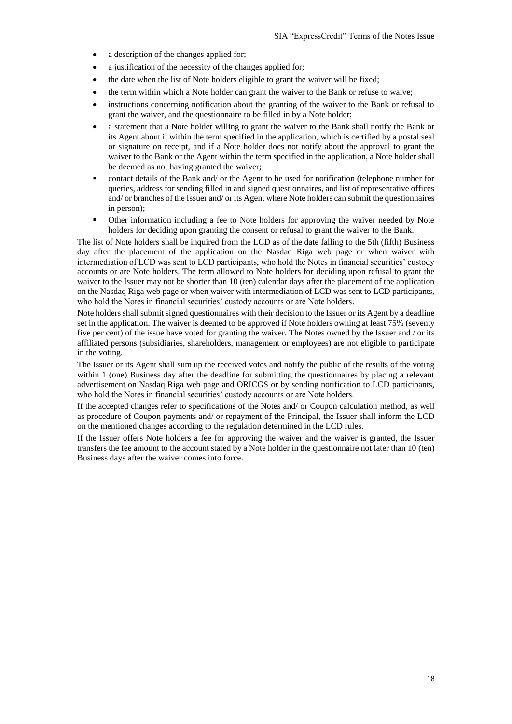- a description of the changes applied for;
- a justification of the necessity of the changes applied for;
- the date when the list of Note holders eligible to grant the waiver will be fixed;
- the term within which a Note holder can grant the waiver to the Bank or refuse to waive;
- instructions concerning notification about the granting of the waiver to the Bank or refusal to grant the waiver, and the questionnaire to be filled in by a Note holder;
- a statement that a Note holder willing to grant the waiver to the Bank shall notify the Bank or its Agent about it within the term specified in the application, which is certified by a postal seal or signature on receipt, and if a Note holder does not notify about the approval to grant the waiver to the Bank or the Agent within the term specified in the application, a Note holder shall be deemed as not having granted the waiver;
- contact details of the Bank and/ or the Agent to be used for notification (telephone number for queries, address for sending filled in and signed questionnaires, and list of representative offices and/ or branches of the Issuer and/ or its Agent where Note holders can submit the questionnaires in person);
- Other information including a fee to Note holders for approving the waiver needed by Note holders for deciding upon granting the consent or refusal to grant the waiver to the Bank.

The list of Note holders shall be inquired from the LCD as of the date falling to the 5th (fifth) Business day after the placement of the application on the Nasdaq Riga web page or when waiver with intermediation of LCD was sent to LCD participants, who hold the Notes in financial securities' custody accounts or are Note holders. The term allowed to Note holders for deciding upon refusal to grant the waiver to the Issuer may not be shorter than 10 (ten) calendar days after the placement of the application on the Nasdaq Riga web page or when waiver with intermediation of LCD was sent to LCD participants, who hold the Notes in financial securities' custody accounts or are Note holders.

Note holders shall submit signed questionnaires with their decision to the Issuer or its Agent by a deadline set in the application. The waiver is deemed to be approved if Note holders owning at least 75% (seventy five per cent) of the issue have voted for granting the waiver. The Notes owned by the Issuer and / or its affiliated persons (subsidiaries, shareholders, management or employees) are not eligible to participate in the voting.

The Issuer or its Agent shall sum up the received votes and notify the public of the results of the voting within 1 (one) Business day after the deadline for submitting the questionnaires by placing a relevant advertisement on Nasdaq Riga web page and ORICGS or by sending notification to LCD participants, who hold the Notes in financial securities' custody accounts or are Note holders.

If the accepted changes refer to specifications of the Notes and/ or Coupon calculation method, as well as procedure of Coupon payments and/ or repayment of the Principal, the Issuer shall inform the LCD on the mentioned changes according to the regulation determined in the LCD rules.

If the Issuer offers Note holders a fee for approving the waiver and the waiver is granted, the Issuer transfers the fee amount to the account stated by a Note holder in the questionnaire not later than 10 (ten) Business days after the waiver comes into force.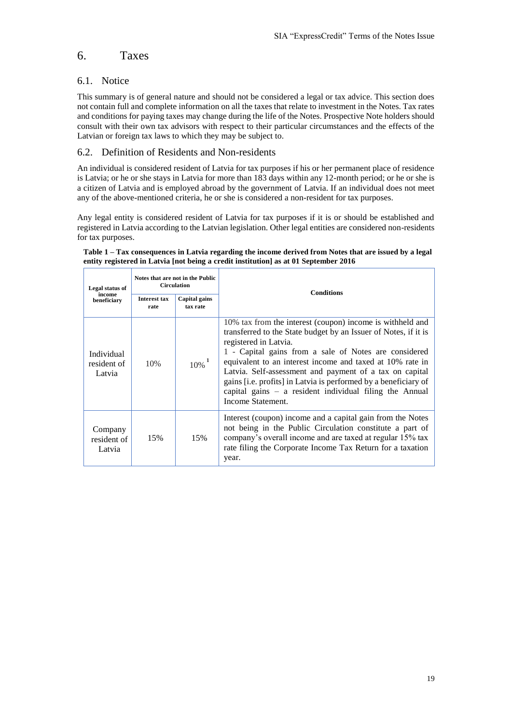## <span id="page-18-0"></span>6. Taxes

## 6.1. Notice

This summary is of general nature and should not be considered a legal or tax advice. This section does not contain full and complete information on all the taxes that relate to investment in the Notes. Tax rates and conditions for paying taxes may change during the life of the Notes. Prospective Note holders should consult with their own tax advisors with respect to their particular circumstances and the effects of the Latvian or foreign tax laws to which they may be subject to.

## 6.2. Definition of Residents and Non-residents

An individual is considered resident of Latvia for tax purposes if his or her permanent place of residence is Latvia; or he or she stays in Latvia for more than 183 days within any 12-month period; or he or she is a citizen of Latvia and is employed abroad by the government of Latvia. If an individual does not meet any of the above-mentioned criteria, he or she is considered a non-resident for tax purposes.

Any legal entity is considered resident of Latvia for tax purposes if it is or should be established and registered in Latvia according to the Latvian legislation. Other legal entities are considered non-residents for tax purposes.

#### **Table 1 – Tax consequences in Latvia regarding the income derived from Notes that are issued by a legal entity registered in Latvia [not being a credit institution] as at 01 September 2016**

| Legal status of                     | Notes that are not in the Public<br><b>Circulation</b> |                           | <b>Conditions</b>                                                                                                                                                                                                                                                                                                                                                                                                                                                                           |
|-------------------------------------|--------------------------------------------------------|---------------------------|---------------------------------------------------------------------------------------------------------------------------------------------------------------------------------------------------------------------------------------------------------------------------------------------------------------------------------------------------------------------------------------------------------------------------------------------------------------------------------------------|
| income<br>beneficiary               | <b>Interest tax</b><br>rate                            | Capital gains<br>tax rate |                                                                                                                                                                                                                                                                                                                                                                                                                                                                                             |
| Individual<br>resident of<br>Latvia | 10%                                                    | $10\%$ <sup>1</sup>       | 10% tax from the interest (coupon) income is withheld and<br>transferred to the State budget by an Issuer of Notes, if it is<br>registered in Latvia.<br>1 - Capital gains from a sale of Notes are considered<br>equivalent to an interest income and taxed at 10% rate in<br>Latvia. Self-assessment and payment of a tax on capital<br>gains [i.e. profits] in Latvia is performed by a beneficiary of<br>capital gains $-$ a resident individual filing the Annual<br>Income Statement. |
| Company<br>resident of<br>Latvia    | 15%                                                    | 15%                       | Interest (coupon) income and a capital gain from the Notes<br>not being in the Public Circulation constitute a part of<br>company's overall income and are taxed at regular 15% tax<br>rate filing the Corporate Income Tax Return for a taxation<br>year.                                                                                                                                                                                                                                  |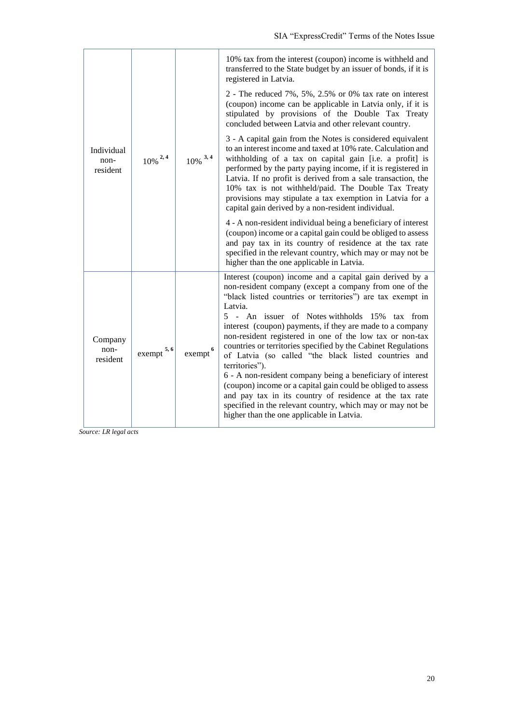| Individual<br>$10\%$ <sup>2,4</sup><br>non-<br>resident |                | $10\%$ <sup>3,4</sup>                                                                                                                                                                                                                                                                                                                                     | 10% tax from the interest (coupon) income is withheld and<br>transferred to the State budget by an issuer of bonds, if it is<br>registered in Latvia.<br>2 - The reduced 7%, 5%, 2.5% or 0% tax rate on interest<br>(coupon) income can be applicable in Latvia only, if it is<br>stipulated by provisions of the Double Tax Treaty                                                                                                                                                                                                                                                                                                                                                                                                                                                                                        |
|---------------------------------------------------------|----------------|-----------------------------------------------------------------------------------------------------------------------------------------------------------------------------------------------------------------------------------------------------------------------------------------------------------------------------------------------------------|----------------------------------------------------------------------------------------------------------------------------------------------------------------------------------------------------------------------------------------------------------------------------------------------------------------------------------------------------------------------------------------------------------------------------------------------------------------------------------------------------------------------------------------------------------------------------------------------------------------------------------------------------------------------------------------------------------------------------------------------------------------------------------------------------------------------------|
|                                                         |                |                                                                                                                                                                                                                                                                                                                                                           | concluded between Latvia and other relevant country.<br>3 - A capital gain from the Notes is considered equivalent<br>to an interest income and taxed at 10% rate. Calculation and<br>withholding of a tax on capital gain [i.e. a profit] is<br>performed by the party paying income, if it is registered in<br>Latvia. If no profit is derived from a sale transaction, the<br>10% tax is not withheld/paid. The Double Tax Treaty<br>provisions may stipulate a tax exemption in Latvia for a                                                                                                                                                                                                                                                                                                                           |
|                                                         |                | capital gain derived by a non-resident individual.<br>4 - A non-resident individual being a beneficiary of interest<br>(coupon) income or a capital gain could be obliged to assess<br>and pay tax in its country of residence at the tax rate<br>specified in the relevant country, which may or may not be<br>higher than the one applicable in Latvia. |                                                                                                                                                                                                                                                                                                                                                                                                                                                                                                                                                                                                                                                                                                                                                                                                                            |
| Company<br>non-<br>resident                             | 5, 6<br>exempt | exempt <sup>6</sup>                                                                                                                                                                                                                                                                                                                                       | Interest (coupon) income and a capital gain derived by a<br>non-resident company (except a company from one of the<br>"black listed countries or territories") are tax exempt in<br>Latvia.<br>5 - An issuer of Notes withholds 15%<br>tax<br>from<br>interest (coupon) payments, if they are made to a company<br>non-resident registered in one of the low tax or non-tax<br>countries or territories specified by the Cabinet Regulations<br>of Latvia (so called "the black listed countries and<br>territories").<br>6 - A non-resident company being a beneficiary of interest<br>(coupon) income or a capital gain could be obliged to assess<br>and pay tax in its country of residence at the tax rate<br>specified in the relevant country, which may or may not be<br>higher than the one applicable in Latvia. |

*Source: LR legal acts*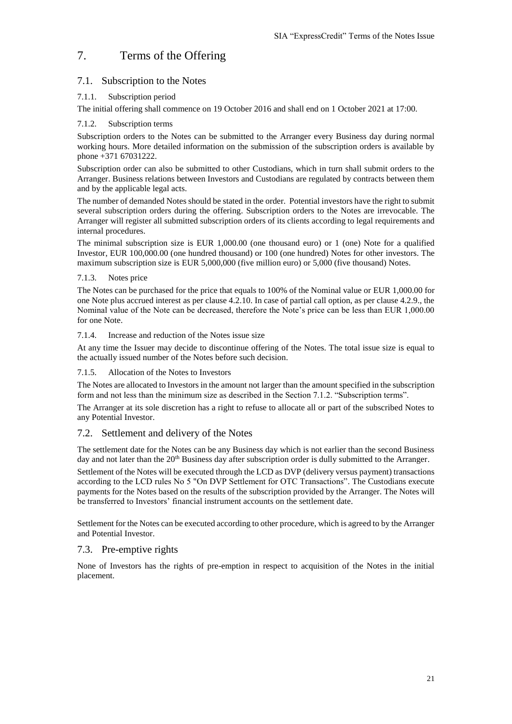## <span id="page-20-0"></span>7. Terms of the Offering

## 7.1. Subscription to the Notes

#### 7.1.1. Subscription period

The initial offering shall commence on 19 October 2016 and shall end on 1 October 2021 at 17:00.

#### 7.1.2. Subscription terms

Subscription orders to the Notes can be submitted to the Arranger every Business day during normal working hours. More detailed information on the submission of the subscription orders is available by phone +371 67031222.

Subscription order can also be submitted to other Custodians, which in turn shall submit orders to the Arranger. Business relations between Investors and Custodians are regulated by contracts between them and by the applicable legal acts.

The number of demanded Notes should be stated in the order. Potential investors have the right to submit several subscription orders during the offering. Subscription orders to the Notes are irrevocable. The Arranger will register all submitted subscription orders of its clients according to legal requirements and internal procedures.

The minimal subscription size is EUR 1,000.00 (one thousand euro) or 1 (one) Note for a qualified Investor, EUR 100,000.00 (one hundred thousand) or 100 (one hundred) Notes for other investors. The maximum subscription size is EUR 5,000,000 (five million euro) or 5,000 (five thousand) Notes.

#### 7.1.3. Notes price

The Notes can be purchased for the price that equals to 100% of the Nominal value or EUR 1,000.00 for one Note plus accrued interest as per clause 4.2.10. In case of partial call option, as per clause 4.2.9., the Nominal value of the Note can be decreased, therefore the Note's price can be less than EUR 1,000.00 for one Note.

#### 7.1.4. Increase and reduction of the Notes issue size

At any time the Issuer may decide to discontinue offering of the Notes. The total issue size is equal to the actually issued number of the Notes before such decision.

#### 7.1.5. Allocation of the Notes to Investors

The Notes are allocated to Investors in the amount not larger than the amount specified in the subscription form and not less than the minimum size as described in the Section 7.1.2. "Subscription terms".

The Arranger at its sole discretion has a right to refuse to allocate all or part of the subscribed Notes to any Potential Investor.

## 7.2. Settlement and delivery of the Notes

The settlement date for the Notes can be any Business day which is not earlier than the second Business day and not later than the 20<sup>th</sup> Business day after subscription order is dully submitted to the Arranger.

Settlement of the Notes will be executed through the LCD as DVP (delivery versus payment) transactions according to the LCD rules No 5 "On DVP Settlement for OTC Transactions". The Custodians execute payments for the Notes based on the results of the subscription provided by the Arranger. The Notes will be transferred to Investors' financial instrument accounts on the settlement date.

Settlement for the Notes can be executed according to other procedure, which is agreed to by the Arranger and Potential Investor.

## 7.3. Pre-emptive rights

None of Investors has the rights of pre-emption in respect to acquisition of the Notes in the initial placement.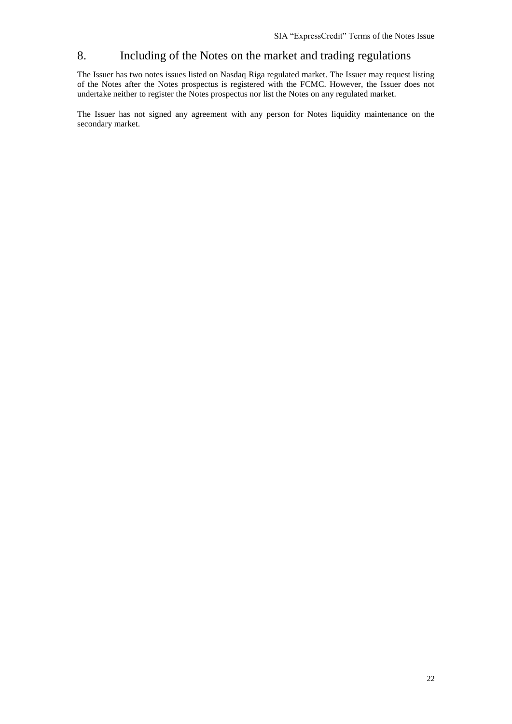## <span id="page-21-0"></span>8. Including of the Notes on the market and trading regulations

The Issuer has two notes issues listed on Nasdaq Riga regulated market. The Issuer may request listing of the Notes after the Notes prospectus is registered with the FCMC. However, the Issuer does not undertake neither to register the Notes prospectus nor list the Notes on any regulated market.

The Issuer has not signed any agreement with any person for Notes liquidity maintenance on the secondary market.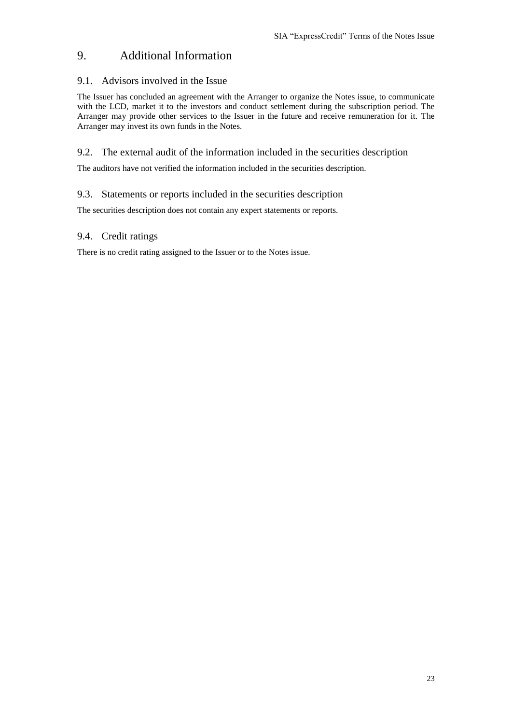## <span id="page-22-0"></span>9. Additional Information

## 9.1. Advisors involved in the Issue

The Issuer has concluded an agreement with the Arranger to organize the Notes issue, to communicate with the LCD, market it to the investors and conduct settlement during the subscription period. The Arranger may provide other services to the Issuer in the future and receive remuneration for it. The Arranger may invest its own funds in the Notes.

## 9.2. The external audit of the information included in the securities description

The auditors have not verified the information included in the securities description.

## 9.3. Statements or reports included in the securities description

The securities description does not contain any expert statements or reports.

## 9.4. Credit ratings

There is no credit rating assigned to the Issuer or to the Notes issue.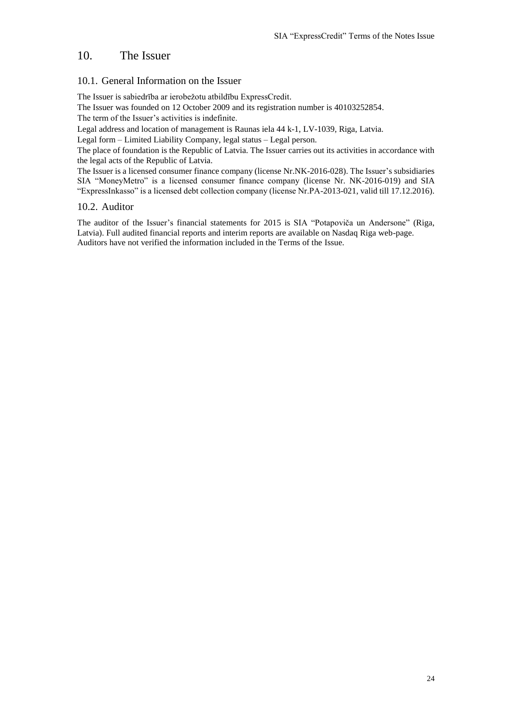## <span id="page-23-0"></span>10. The Issuer

## 10.1. General Information on the Issuer

The Issuer is sabiedrība ar ierobežotu atbildību ExpressCredit.

The Issuer was founded on 12 October 2009 and its registration number is 40103252854.

The term of the Issuer's activities is indefinite.

Legal address and location of management is Raunas iela 44 k-1, LV-1039, Riga, Latvia.

Legal form – Limited Liability Company, legal status – Legal person.

The place of foundation is the Republic of Latvia. The Issuer carries out its activities in accordance with the legal acts of the Republic of Latvia.

The Issuer is a licensed consumer finance company (license Nr.NK-2016-028). The Issuer's subsidiaries SIA "MoneyMetro" is a licensed consumer finance company (license Nr. NK-2016-019) and SIA "ExpressInkasso" is a licensed debt collection company (license Nr.PA-2013-021, valid till 17.12.2016).

#### 10.2. Auditor

The auditor of the Issuer's financial statements for 2015 is SIA "Potapoviča un Andersone" (Riga, Latvia). Full audited financial reports and interim reports are available on Nasdaq Riga web-page. Auditors have not verified the information included in the Terms of the Issue.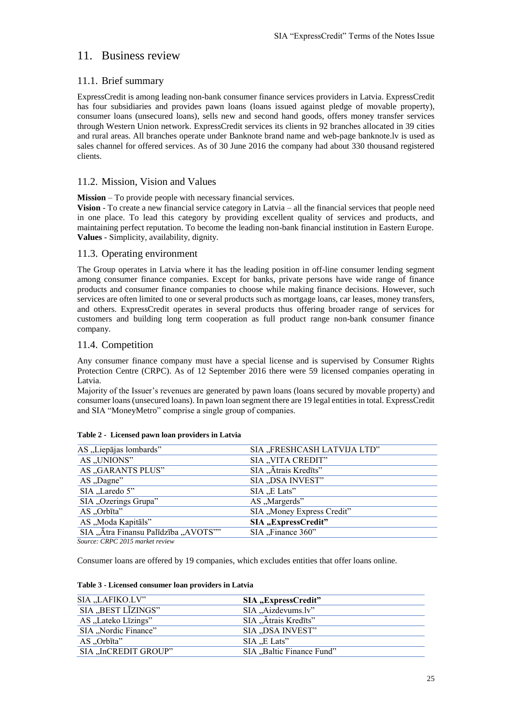## <span id="page-24-0"></span>11. Business review

## 11.1. Brief summary

ExpressCredit is among leading non-bank consumer finance services providers in Latvia. ExpressCredit has four subsidiaries and provides pawn loans (loans issued against pledge of movable property), consumer loans (unsecured loans), sells new and second hand goods, offers money transfer services through Western Union network. ExpressCredit services its clients in 92 branches allocated in 39 cities and rural areas. All branches operate under Banknote brand name and web-page banknote.lv is used as sales channel for offered services. As of 30 June 2016 the company had about 330 thousand registered clients.

## 11.2. Mission, Vision and Values

**Mission** – To provide people with necessary financial services.

**Vision** - To create a new financial service category in Latvia – all the financial services that people need in one place. To lead this category by providing excellent quality of services and products, and maintaining perfect reputation. To become the leading non-bank financial institution in Eastern Europe. **Values** - Simplicity, availability, dignity.

#### 11.3. Operating environment

The Group operates in Latvia where it has the leading position in off-line consumer lending segment among consumer finance companies. Except for banks, private persons have wide range of finance products and consumer finance companies to choose while making finance decisions. However, such services are often limited to one or several products such as mortgage loans, car leases, money transfers, and others. ExpressCredit operates in several products thus offering broader range of services for customers and building long term cooperation as full product range non-bank consumer finance company.

## 11.4. Competition

Any consumer finance company must have a special license and is supervised by Consumer Rights Protection Centre (CRPC). As of 12 September 2016 there were 59 licensed companies operating in Latvia.

Majority of the Issuer's revenues are generated by pawn loans (loans secured by movable property) and consumer loans(unsecured loans). In pawn loan segment there are 19 legal entities in total. ExpressCredit and SIA "MoneyMetro" comprise a single group of companies.

| AS "Liepājas lombards"               | SIA "FRESHCASH LATVIJA LTD" |
|--------------------------------------|-----------------------------|
| AS "UNIONS"                          | SIA "VITA CREDIT"           |
| AS "GARANTS PLUS"                    | SIA "Ātrais Kredīts"        |
| AS "Dagne"                           | SIA "DSA INVEST"            |
| SIA "Laredo 5"                       | $SIA$ $E$ Lats"             |
| SIA "Ozerings Grupa"                 | AS "Margerds"               |
| AS "Orbīta"                          | SIA "Money Express Credit"  |
| AS "Moda Kapitāls"                   | SIA "ExpressCredit"         |
| SIA "Ātra Finansu Palīdzība "AVOTS"" | SIA "Finance 360"           |
| $\alpha$ concease $\alpha$           |                             |

#### **Table 2 - Licensed pawn loan providers in Latvia**

*Source: CRPC 2015 market review*

Consumer loans are offered by 19 companies, which excludes entities that offer loans online.

| SIA "LAFIKO.LV"      | SIA "ExpressCredit"       |
|----------------------|---------------------------|
| SIA "BEST LĪZINGS"   | SIA "Aizdevums.lv"        |
| AS "Lateko Līzings"  | SIA "Ātrais Kredīts"      |
| SIA "Nordic Finance" | SIA "DSA INVEST"          |
| AS "Orbīta"          | $SIA$ $E$ Lats"           |
| SIA "InCREDIT GROUP" | SIA "Baltic Finance Fund" |

## **Table 3 - Licensed consumer loan providers in Latvia**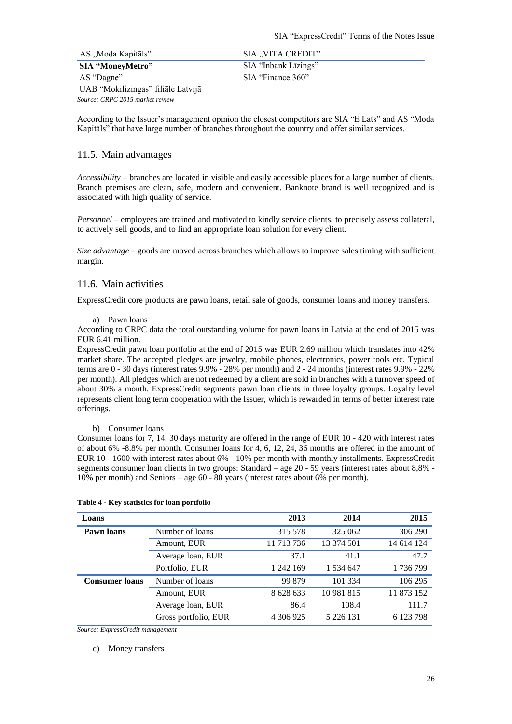| AS "Moda Kapitāls"                 | SIA "VITA CREDIT"    |
|------------------------------------|----------------------|
| SIA "MoneyMetro"                   | SIA "Inbank Lizings" |
| AS "Dagne"                         | SIA "Finance 360"    |
| UAB "Mokilizingas" filiāle Latvijā |                      |

*Source: CRPC 2015 market review*

According to the Issuer's management opinion the closest competitors are SIA "E Lats" and AS "Moda Kapitāls" that have large number of branches throughout the country and offer similar services.

## 11.5. Main advantages

*Accessibility –* branches are located in visible and easily accessible places for a large number of clients. Branch premises are clean, safe, modern and convenient. Banknote brand is well recognized and is associated with high quality of service.

*Personnel –* employees are trained and motivated to kindly service clients, to precisely assess collateral, to actively sell goods, and to find an appropriate loan solution for every client.

*Size advantage* – goods are moved across branches which allows to improve sales timing with sufficient margin.

#### 11.6. Main activities

ExpressCredit core products are pawn loans, retail sale of goods, consumer loans and money transfers.

#### a) Pawn loans

According to CRPC data the total outstanding volume for pawn loans in Latvia at the end of 2015 was EUR 6.41 million.

ExpressCredit pawn loan portfolio at the end of 2015 was EUR 2.69 million which translates into 42% market share. The accepted pledges are jewelry, mobile phones, electronics, power tools etc. Typical terms are 0 - 30 days (interest rates 9.9% - 28% per month) and 2 - 24 months (interest rates 9.9% - 22% per month). All pledges which are not redeemed by a client are sold in branches with a turnover speed of about 30% a month. ExpressCredit segments pawn loan clients in three loyalty groups. Loyalty level represents client long term cooperation with the Issuer, which is rewarded in terms of better interest rate offerings.

#### b) Consumer loans

Consumer loans for 7, 14, 30 days maturity are offered in the range of EUR 10 - 420 with interest rates of about 6% -8.8% per month. Consumer loans for 4, 6, 12, 24, 36 months are offered in the amount of EUR 10 - 1600 with interest rates about 6% - 10% per month with monthly installments. ExpressCredit segments consumer loan clients in two groups: Standard – age 20 - 59 years (interest rates about 8,8% - 10% per month) and Seniors – age 60 - 80 years (interest rates about 6% per month).

| Loans                 |                      | 2013       | 2014          | 2015       |
|-----------------------|----------------------|------------|---------------|------------|
| Pawn loans            | Number of loans      | 315 578    | 325 062       | 306 290    |
|                       | Amount, EUR          | 11 713 736 | 13 374 501    | 14 614 124 |
|                       | Average loan, EUR    | 37.1       | 41.1          | 47.7       |
|                       | Portfolio, EUR       | 1 242 169  | 1 534 647     | 1736799    |
| <b>Consumer loans</b> | Number of loans      | 99 879     | 101 334       | 106 295    |
|                       | Amount, EUR          | 8 628 633  | 10 981 815    | 11 873 152 |
|                       | Average loan, EUR    | 86.4       | 108.4         | 111.7      |
|                       | Gross portfolio, EUR | 4 306 925  | 5 2 2 6 1 3 1 | 6 123 798  |

#### **Table 4 - Key statistics for loan portfolio**

*Source: ExpressCredit management*

#### c) Money transfers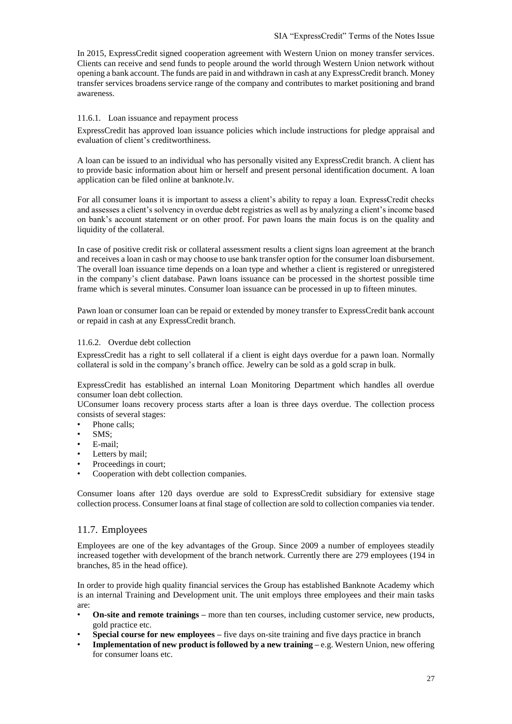In 2015, ExpressCredit signed cooperation agreement with Western Union on money transfer services. Clients can receive and send funds to people around the world through Western Union network without opening a bank account. The funds are paid in and withdrawn in cash at any ExpressCredit branch. Money transfer services broadens service range of the company and contributes to market positioning and brand awareness.

#### 11.6.1. Loan issuance and repayment process

ExpressCredit has approved loan issuance policies which include instructions for pledge appraisal and evaluation of client's creditworthiness.

A loan can be issued to an individual who has personally visited any ExpressCredit branch. A client has to provide basic information about him or herself and present personal identification document. A loan application can be filed online at banknote.lv.

For all consumer loans it is important to assess a client's ability to repay a loan. ExpressCredit checks and assesses a client's solvency in overdue debt registries as well as by analyzing a client's income based on bank's account statement or on other proof. For pawn loans the main focus is on the quality and liquidity of the collateral.

In case of positive credit risk or collateral assessment results a client signs loan agreement at the branch and receives a loan in cash or may choose to use bank transfer option for the consumer loan disbursement. The overall loan issuance time depends on a loan type and whether a client is registered or unregistered in the company's client database. Pawn loans issuance can be processed in the shortest possible time frame which is several minutes. Consumer loan issuance can be processed in up to fifteen minutes.

Pawn loan or consumer loan can be repaid or extended by money transfer to ExpressCredit bank account or repaid in cash at any ExpressCredit branch.

#### 11.6.2. Overdue debt collection

ExpressCredit has a right to sell collateral if a client is eight days overdue for a pawn loan. Normally collateral is sold in the company's branch office. Jewelry can be sold as a gold scrap in bulk.

ExpressCredit has established an internal Loan Monitoring Department which handles all overdue consumer loan debt collection.

UConsumer loans recovery process starts after a loan is three days overdue. The collection process consists of several stages:

- Phone calls;
- SMS;
- E-mail;
- Letters by mail;
- Proceedings in court;
- Cooperation with debt collection companies.

Consumer loans after 120 days overdue are sold to ExpressCredit subsidiary for extensive stage collection process. Consumer loans at final stage of collection are sold to collection companies via tender.

## 11.7. Employees

Employees are one of the key advantages of the Group. Since 2009 a number of employees steadily increased together with development of the branch network. Currently there are 279 employees (194 in branches, 85 in the head office).

In order to provide high quality financial services the Group has established Banknote Academy which is an internal Training and Development unit. The unit employs three employees and their main tasks are:

- **On-site and remote trainings –** more than ten courses, including customer service, new products, gold practice etc.
- **Special course for new employees –** five days on-site training and five days practice in branch
- **Implementation of new product is followed by a new training –** e.g. Western Union, new offering for consumer loans etc.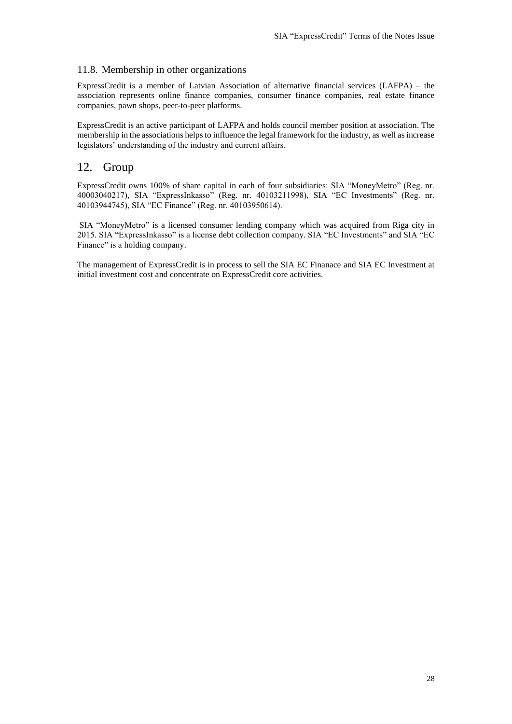#### 11.8. Membership in other organizations

ExpressCredit is a member of Latvian Association of alternative financial services (LAFPA) – the association represents online finance companies, consumer finance companies, real estate finance companies, pawn shops, peer-to-peer platforms.

ExpressCredit is an active participant of LAFPA and holds council member position at association. The membership in the associations helps to influence the legal framework for the industry, as well as increase legislators' understanding of the industry and current affairs.

## <span id="page-27-0"></span>12. Group

ExpressCredit owns 100% of share capital in each of four subsidiaries: SIA "MoneyMetro" (Reg. nr. 40003040217), SIA "ExpressInkasso" (Reg. nr. 40103211998), SIA "EC Investments" (Reg. nr. 40103944745), SIA "EC Finance" (Reg. nr. 40103950614).

SIA "MoneyMetro" is a licensed consumer lending company which was acquired from Riga city in 2015. SIA "ExpressInkasso" is a license debt collection company. SIA "EC Investments" and SIA "EC Finance" is a holding company.

The management of ExpressCredit is in process to sell the SIA EC Finanace and SIA EC Investment at initial investment cost and concentrate on ExpressCredit core activities.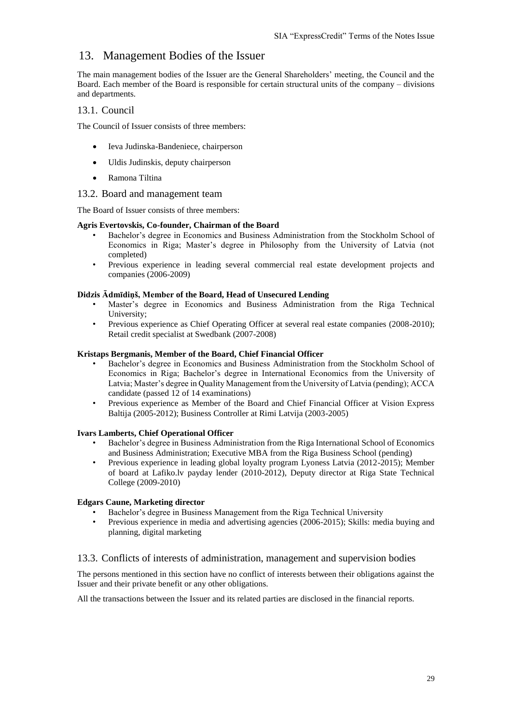## <span id="page-28-0"></span>13. Management Bodies of the Issuer

The main management bodies of the Issuer are the General Shareholders' meeting, the Council and the Board. Each member of the Board is responsible for certain structural units of the company – divisions and departments.

#### 13.1. Council

The Council of Issuer consists of three members:

- Ieva Judinska-Bandeniece, chairperson
- Uldis Judinskis, deputy chairperson
- Ramona Tiltina

#### 13.2. Board and management team

The Board of Issuer consists of three members:

#### **Agris Evertovskis, Co-founder, Chairman of the Board**

- Bachelor's degree in Economics and Business Administration from the Stockholm School of Economics in Riga; Master's degree in Philosophy from the University of Latvia (not completed)
- Previous experience in leading several commercial real estate development projects and companies (2006-2009)

#### **Didzis Ādmīdiņš, Member of the Board, Head of Unsecured Lending**

- Master's degree in Economics and Business Administration from the Riga Technical University;
- Previous experience as Chief Operating Officer at several real estate companies (2008-2010); Retail credit specialist at Swedbank (2007-2008)

#### **Kristaps Bergmanis, Member of the Board, Chief Financial Officer**

- Bachelor's degree in Economics and Business Administration from the Stockholm School of Economics in Riga; Bachelor's degree in International Economics from the University of Latvia; Master's degree in Quality Management from the University of Latvia (pending); ACCA candidate (passed 12 of 14 examinations)
- Previous experience as Member of the Board and Chief Financial Officer at Vision Express Baltija (2005-2012); Business Controller at Rimi Latvija (2003-2005)

#### **Ivars Lamberts, Chief Operational Officer**

- Bachelor's degree in Business Administration from the Riga International School of Economics and Business Administration; Executive MBA from the Riga Business School (pending)
- Previous experience in leading global loyalty program Lyoness Latvia (2012-2015); Member of board at Lafiko.lv payday lender (2010-2012), Deputy director at Riga State Technical College (2009-2010)

#### **Edgars Caune, Marketing director**

- Bachelor's degree in Business Management from the Riga Technical University
- Previous experience in media and advertising agencies (2006-2015); Skills: media buying and planning, digital marketing

#### 13.3. Conflicts of interests of administration, management and supervision bodies

The persons mentioned in this section have no conflict of interests between their obligations against the Issuer and their private benefit or any other obligations.

All the transactions between the Issuer and its related parties are disclosed in the financial reports.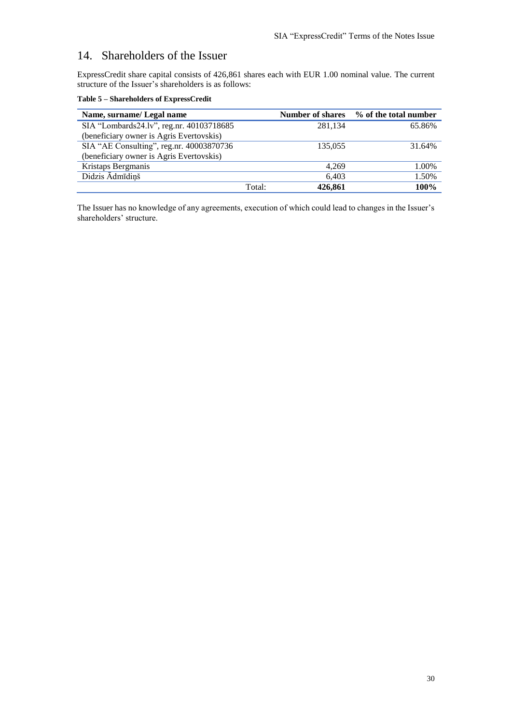## <span id="page-29-0"></span>14. Shareholders of the Issuer

ExpressCredit share capital consists of 426,861 shares each with EUR 1.00 nominal value. The current structure of the Issuer's shareholders is as follows:

| Name, surname/ Legal name                |        | <b>Number of shares</b> | % of the total number |
|------------------------------------------|--------|-------------------------|-----------------------|
|                                          |        |                         |                       |
| SIA "Lombards24.lv", reg.nr. 40103718685 |        | 281,134                 | 65.86%                |
| (beneficiary owner is Agris Evertovskis) |        |                         |                       |
| SIA "AE Consulting", reg.nr. 40003870736 |        | 135,055                 | 31.64%                |
| (beneficiary owner is Agris Evertovskis) |        |                         |                       |
| Kristaps Bergmanis                       |        | 4.269                   | 1.00%                 |
| Didzis Ādmīdiņš                          |        | 6.403                   | 1.50%                 |
|                                          | Total: | 426,861                 | 100%                  |

**Table 5 – Shareholders of ExpressCredit**

The Issuer has no knowledge of any agreements, execution of which could lead to changes in the Issuer's shareholders' structure.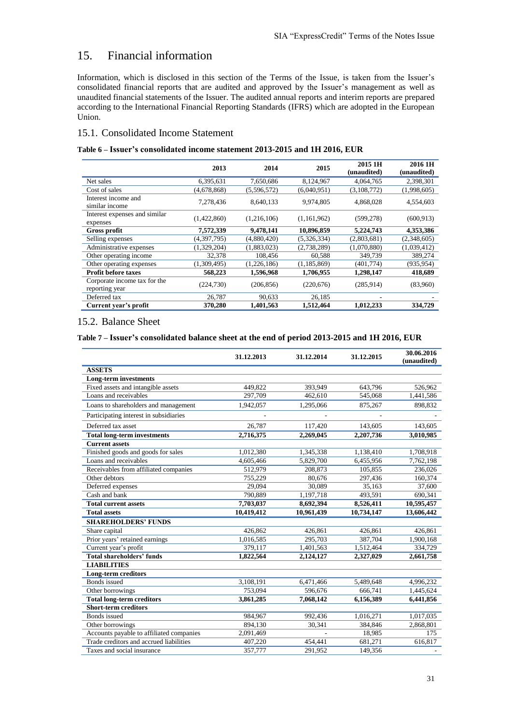## <span id="page-30-0"></span>15. Financial information

Information, which is disclosed in this section of the Terms of the Issue, is taken from the Issuer's consolidated financial reports that are audited and approved by the Issuer's management as well as unaudited financial statements of the Issuer. The audited annual reports and interim reports are prepared according to the International Financial Reporting Standards (IFRS) which are adopted in the European Union.

### 15.1. Consolidated Income Statement

#### **Table 6 – Issuer's consolidated income statement 2013-2015 and 1H 2016, EUR**

|                                                | 2013        | 2014        | 2015          | 2015 1H<br>(unaudited) | 2016 1H<br>(unaudited) |
|------------------------------------------------|-------------|-------------|---------------|------------------------|------------------------|
| Net sales                                      | 6,395,631   | 7,650,686   | 8,124,967     | 4,064,765              | 2,398,301              |
| Cost of sales                                  | (4,678,868) | (5,596,572) | (6,040,951)   | (3,108,772)            | (1,998,605)            |
| Interest income and<br>similar income          | 7,278,436   | 8.640.133   | 9.974.805     | 4.868.028              | 4,554,603              |
| Interest expenses and similar<br>expenses      | (1,422,860) | (1,216,106) | (1,161,962)   | (599, 278)             | (600, 913)             |
| <b>Gross profit</b>                            | 7,572,339   | 9,478,141   | 10,896,859    | 5,224,743              | 4,353,386              |
| Selling expenses                               | (4,397,795) | (4,880,420) | (5,326,334)   | (2,803,681)            | (2,348,605)            |
| Administrative expenses                        | (1,329,204) | (1,883,023) | (2,738,289)   | (1,070,880)            | (1,039,412)            |
| Other operating income                         | 32,378      | 108,456     | 60,588        | 349,739                | 389,274                |
| Other operating expenses                       | (1,309,495) | (1,226,186) | (1, 185, 869) | (401,774)              | (935, 954)             |
| <b>Profit before taxes</b>                     | 568,223     | 1,596,968   | 1,706,955     | 1,298,147              | 418,689                |
| Corporate income tax for the<br>reporting year | (224, 730)  | (206, 856)  | (220, 676)    | (285,914)              | (83,960)               |
| Deferred tax                                   | 26,787      | 90,633      | 26,185        |                        |                        |
| Current year's profit                          | 370.280     | 1.401.563   | 1,512,464     | 1,012,233              | 334,729                |

#### 15.2. Balance Sheet

#### **Table 7 – Issuer's consolidated balance sheet at the end of period 2013-2015 and 1H 2016, EUR**

|                                          | 31.12.2013 | 31.12.2014 | 31.12.2015 | 30.06.2016<br>(unaudited) |
|------------------------------------------|------------|------------|------------|---------------------------|
| <b>ASSETS</b>                            |            |            |            |                           |
| <b>Long-term investments</b>             |            |            |            |                           |
| Fixed assets and intangible assets       | 449.822    | 393,949    | 643.796    | 526,962                   |
| Loans and receivables                    | 297.709    | 462,610    | 545,068    | 1,441,586                 |
| Loans to shareholders and management     | 1,942,057  | 1,295,066  | 875,267    | 898,832                   |
| Participating interest in subsidiaries   |            |            |            |                           |
| Deferred tax asset                       | 26,787     | 117,420    | 143,605    | 143,605                   |
| <b>Total long-term investments</b>       | 2,716,375  | 2,269,045  | 2,207,736  | 3,010,985                 |
| <b>Current assets</b>                    |            |            |            |                           |
| Finished goods and goods for sales       | 1,012,380  | 1,345,338  | 1,138,410  | 1,708,918                 |
| Loans and receivables                    | 4,605,466  | 5,829,700  | 6,455,956  | 7,762,198                 |
| Receivables from affiliated companies    | 512,979    | 208,873    | 105,855    | 236,026                   |
| Other debtors                            | 755,229    | 80,676     | 297,436    | 160,374                   |
| Deferred expenses                        | 29,094     | 30,089     | 35,163     | 37,600                    |
| Cash and bank                            | 790,889    | 1,197,718  | 493,591    | 690,341                   |
| <b>Total current assets</b>              | 7,703,037  | 8,692,394  | 8,526,411  | 10,595,457                |
| <b>Total assets</b>                      | 10,419,412 | 10,961,439 | 10,734,147 | 13,606,442                |
| <b>SHAREHOLDERS' FUNDS</b>               |            |            |            |                           |
| Share capital                            | 426.862    | 426,861    | 426,861    | 426,861                   |
| Prior years' retained earnings           | 1,016,585  | 295,703    | 387,704    | 1,900,168                 |
| Current year's profit                    | 379,117    | 1,401,563  | 1,512,464  | 334,729                   |
| <b>Total shareholders' funds</b>         | 1,822,564  | 2,124,127  | 2,327,029  | 2,661,758                 |
| <b>LIABILITIES</b>                       |            |            |            |                           |
| <b>Long-term creditors</b>               |            |            |            |                           |
| Bonds issued                             | 3,108,191  | 6,471,466  | 5,489,648  | 4,996,232                 |
| Other borrowings                         | 753,094    | 596,676    | 666,741    | 1,445,624                 |
| <b>Total long-term creditors</b>         | 3,861,285  | 7,068,142  | 6,156,389  | 6,441,856                 |
| <b>Short-term creditors</b>              |            |            |            |                           |
| <b>Bonds</b> issued                      | 984,967    | 992,436    | 1,016,271  | 1,017,035                 |
| Other borrowings                         | 894,130    | 30,341     | 384,846    | 2,868,801                 |
| Accounts payable to affiliated companies | 2,091,469  |            | 18,985     | 175                       |
| Trade creditors and accrued liabilities  | 407,220    | 454,441    | 681,271    | 616,817                   |
| Taxes and social insurance               | 357,777    | 291,952    | 149,356    |                           |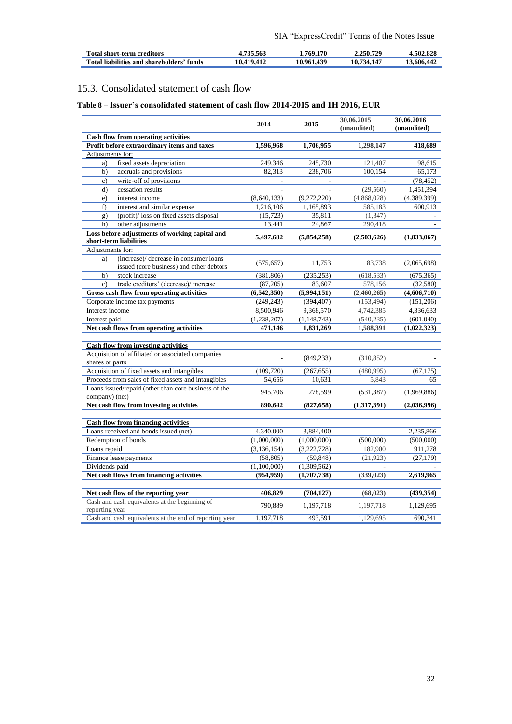| <b>Total short-term creditors</b>            | 735.563 | 769.170        | 2.250.729   | 4.502.828 |
|----------------------------------------------|---------|----------------|-------------|-----------|
| Total liabilities and shareholders'<br>funds |         | .439<br>10.96! | 10.<br>' 44 | 3.606.442 |

## 15.3. Consolidated statement of cash flow

## **Table 8 – Issuer's consolidated statement of cash flow 2014-2015 and 1H 2016, EUR**

|                                                                                          | 2014          | 2015          | 30.06.2015<br>(unaudited) | 30.06.2016<br>(unaudited) |
|------------------------------------------------------------------------------------------|---------------|---------------|---------------------------|---------------------------|
| <b>Cash flow from operating activities</b>                                               |               |               |                           |                           |
| Profit before extraordinary items and taxes                                              | 1,596,968     | 1,706,955     | 1,298,147                 | 418,689                   |
| Adjustments for:                                                                         |               |               |                           |                           |
| fixed assets depreciation<br>a)                                                          | 249,346       | 245,730       | 121,407                   | 98,615                    |
| accruals and provisions<br>b)                                                            | 82,313        | 238,706       | 100,154                   | 65,173                    |
| write-off of provisions<br>$\mathbf{c}$ )                                                |               |               |                           | (78, 452)                 |
| d)<br>cessation results                                                                  |               |               | (29, 560)                 | 1,451,394                 |
| interest income<br>e)                                                                    | (8,640,133)   | (9,272,220)   | (4,868,028)               | (4,389,399)               |
| f)<br>interest and similar expense                                                       | 1,216,106     | 1,165,893     | 585,183                   | 600,913                   |
| (profit)/ loss on fixed assets disposal                                                  | (15, 723)     | 35,811        | (1, 347)                  |                           |
| g)                                                                                       |               |               |                           |                           |
| other adjustments<br>h)                                                                  | 13,441        | 24,867        | 290,418                   |                           |
| Loss before adjustments of working capital and<br>short-term liabilities                 | 5,497,682     | (5,854,258)   | (2,503,626)               | (1,833,067)               |
| Adjustments for:                                                                         |               |               |                           |                           |
| (increase)/ decrease in consumer loans<br>a)<br>issued (core business) and other debtors | (575, 657)    | 11,753        | 83,738                    | (2,065,698)               |
| b)<br>stock increase                                                                     | (381, 806)    | (235, 253)    | (618, 533)                | (675, 365)                |
| trade creditors' (decrease)/ increase<br>$\mathbf{c}$ )                                  | (87,205)      | 83,607        | 578,156                   | (32, 580)                 |
| Gross cash flow from operating activities                                                | (6,542,350)   | (5,994,151)   | (2,460,265)               | (4,606,710)               |
| Corporate income tax payments                                                            | (249, 243)    | (394, 407)    | (153, 494)                | (151,206)                 |
| Interest income                                                                          | 8,500,946     | 9,368,570     | 4,742,385                 | 4,336,633                 |
| Interest paid                                                                            | (1, 238, 207) | (1, 148, 743) | (540, 235)                | (601,040)                 |
| Net cash flows from operating activities                                                 | 471,146       | 1,831,269     | 1,588,391                 | (1,022,323)               |
|                                                                                          |               |               |                           |                           |
| <b>Cash flow from investing activities</b>                                               |               |               |                           |                           |
| Acquisition of affiliated or associated companies                                        |               | (849, 233)    | (310, 852)                |                           |
| shares or parts                                                                          |               |               |                           |                           |
| Acquisition of fixed assets and intangibles                                              | (109, 720)    | (267, 655)    | (480,995)                 | (67, 175)                 |
| Proceeds from sales of fixed assets and intangibles                                      | 54,656        | 10,631        | 5,843                     | 65                        |
| Loans issued/repaid (other than core business of the<br>company) (net)                   | 945,706       | 278,599       | (531, 387)                | (1,969,886)               |
| Net cash flow from investing activities                                                  | 890,642       | (827, 658)    | (1,317,391)               | (2,036,996)               |
| <b>Cash flow from financing activities</b>                                               |               |               |                           |                           |
| Loans received and bonds issued (net)                                                    | 4,340,000     | 3.884.400     |                           | 2,235,866                 |
| Redemption of bonds                                                                      | (1,000,000)   | (1,000,000)   | (500,000)                 | (500,000)                 |
| Loans repaid                                                                             | (3, 136, 154) | (3,222,728)   | 182,900                   | 911,278                   |
| Finance lease payments                                                                   | (58, 805)     | (59, 848)     | (21, 923)                 | (27, 179)                 |
| Dividends paid                                                                           | (1,100,000)   | (1,309,562)   |                           |                           |
| Net cash flows from financing activities                                                 | (954, 959)    | (1,707,738)   | (339, 023)                | 2,619,965                 |
|                                                                                          |               |               |                           |                           |
| Net cash flow of the reporting year                                                      | 406,829       | (704, 127)    | (68, 023)                 | (439, 354)                |
| Cash and cash equivalents at the beginning of<br>reporting year                          | 790,889       | 1,197,718     | 1,197,718                 | 1,129,695                 |
| Cash and cash equivalents at the end of reporting year                                   | 1,197,718     | 493,591       | 1,129,695                 | 690,341                   |
|                                                                                          |               |               |                           |                           |